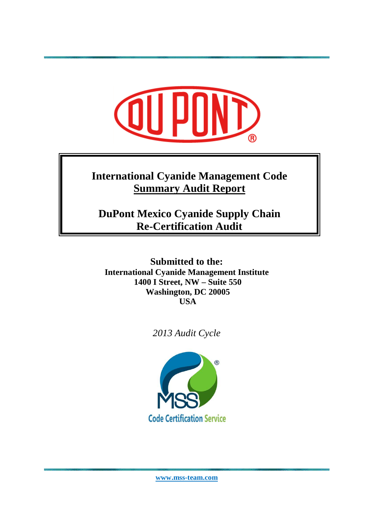# **International Cyanide Management Code Summary Audit Report**

**DuPont Mexico Cyanide Supply Chain Re-Certification Audit** 

**Submitted to the: International Cyanide Management Institute 1400 I Street, NW – Suite 550 Washington, DC 20005 USA** 

*2013 Audit Cycle* 



**www.mss-team.com**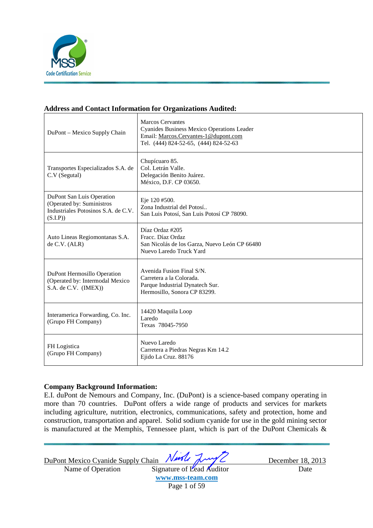

#### **Address and Contact Information for Organizations Audited:**

| DuPont – Mexico Supply Chain                                                                              | <b>Marcos Cervantes</b><br>Cyanides Business Mexico Operations Leader<br>Email: Marcos.Cervantes-1@dupont.com<br>Tel. (444) 824-52-65, (444) 824-52-63 |
|-----------------------------------------------------------------------------------------------------------|--------------------------------------------------------------------------------------------------------------------------------------------------------|
| Transportes Especializados S.A. de<br>C.V (Segutal)                                                       | Chupícuaro 85.<br>Col. Letrán Valle.<br>Delegación Benito Juárez.<br>México, D.F. CP 03650.                                                            |
| DuPont San Luis Operation<br>(Operated by: Suministros<br>Industriales Potosinos S.A. de C.V.<br>(S.I.P)) | Eje 120 #500.<br>Zona Industrial del Potosí<br>San Luis Potosí, San Luis Potosí CP 78090.                                                              |
| Auto Lineas Regiomontanas S.A.<br>de C.V. (ALR)                                                           | Díaz Ordaz #205<br>Fracc. Díaz Ordaz<br>San Nicolás de los Garza, Nuevo León CP 66480<br>Nuevo Laredo Truck Yard                                       |
| DuPont Hermosillo Operation<br>(Operated by: Intermodal Mexico<br>S.A. de C.V. (IMEX))                    | Avenida Fusion Final S/N.<br>Carretera a la Colorada.<br>Parque Industrial Dynatech Sur.<br>Hermosillo, Sonora CP 83299.                               |
| Interamerica Forwarding, Co. Inc.<br>(Grupo FH Company)                                                   | 14420 Maquila Loop<br>Laredo<br>Texas 78045-7950                                                                                                       |
| FH Logistica<br>(Grupo FH Company)                                                                        | Nuevo Laredo<br>Carretera a Piedras Negras Km 14.2<br>Ejido La Cruz. 88176                                                                             |

#### **Company Background Information:**

E.I. duPont de Nemours and Company, Inc. (DuPont) is a science-based company operating in more than 70 countries. DuPont offers a wide range of products and services for markets including agriculture, nutrition, electronics, communications, safety and protection, home and construction, transportation and apparel. Solid sodium cyanide for use in the gold mining sector is manufactured at the Memphis, Tennessee plant, which is part of the DuPont Chemicals &

DuPont Mexico Cyanide Supply Chain Nurse Jump Comptete December 18, 2013

Name of Operation Signature of Lead Auditor Date **www.mss-team.com**

Page 1 of 59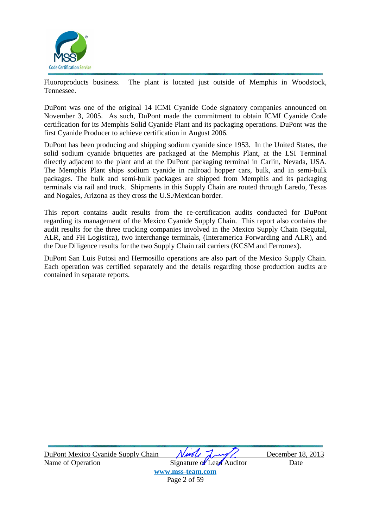

Fluoroproducts business. The plant is located just outside of Memphis in Woodstock, Tennessee.

DuPont was one of the original 14 ICMI Cyanide Code signatory companies announced on November 3, 2005. As such, DuPont made the commitment to obtain ICMI Cyanide Code certification for its Memphis Solid Cyanide Plant and its packaging operations. DuPont was the first Cyanide Producer to achieve certification in August 2006.

DuPont has been producing and shipping sodium cyanide since 1953. In the United States, the solid sodium cyanide briquettes are packaged at the Memphis Plant, at the LSI Terminal directly adjacent to the plant and at the DuPont packaging terminal in Carlin, Nevada, USA. The Memphis Plant ships sodium cyanide in railroad hopper cars, bulk, and in semi-bulk packages. The bulk and semi-bulk packages are shipped from Memphis and its packaging terminals via rail and truck. Shipments in this Supply Chain are routed through Laredo, Texas and Nogales, Arizona as they cross the U.S./Mexican border.

This report contains audit results from the re-certification audits conducted for DuPont regarding its management of the Mexico Cyanide Supply Chain. This report also contains the audit results for the three trucking companies involved in the Mexico Supply Chain (Segutal, ALR, and FH Logistica), two interchange terminals, (Interamerica Forwarding and ALR), and the Due Diligence results for the two Supply Chain rail carriers (KCSM and Ferromex).

DuPont San Luis Potosi and Hermosillo operations are also part of the Mexico Supply Chain. Each operation was certified separately and the details regarding those production audits are contained in separate reports.

DuPont Mexico Cyanide Supply Chain *Nurely Lawy* December 18, 2013 Name of Operation Signature of Lead Auditor Date

**www.mss-team.com**

Page 2 of 59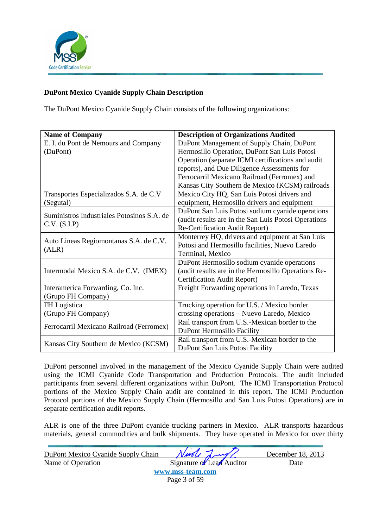

### **DuPont Mexico Cyanide Supply Chain Description**

The DuPont Mexico Cyanide Supply Chain consists of the following organizations:

| <b>Name of Company</b>                     | <b>Description of Organizations Audited</b>          |
|--------------------------------------------|------------------------------------------------------|
| E. I. du Pont de Nemours and Company       | DuPont Management of Supply Chain, DuPont            |
| (DuPont)                                   | Hermosillo Operation, DuPont San Luis Potosi         |
|                                            | Operation (separate ICMI certifications and audit    |
|                                            | reports), and Due Diligence Assessments for          |
|                                            | Ferrocarril Mexicano Railroad (Ferromex) and         |
|                                            | Kansas City Southern de Mexico (KCSM) railroads      |
| Transportes Especializados S.A. de C.V     | Mexico City HQ, San Luis Potosi drivers and          |
| (Segutal)                                  | equipment, Hermosillo drivers and equipment          |
|                                            | DuPont San Luis Potosi sodium cyanide operations     |
| Suministros Industriales Potosinos S.A. de | (audit results are in the San Luis Potosi Operations |
| C.V. (S.I.P)                               | Re-Certification Audit Report)                       |
|                                            | Monterrey HQ, drivers and equipment at San Luis      |
| Auto Lineas Regiomontanas S.A. de C.V.     | Potosi and Hermosillo facilities, Nuevo Laredo       |
| (ALR)                                      | Terminal, Mexico                                     |
|                                            | DuPont Hermosillo sodium cyanide operations          |
| Intermodal Mexico S.A. de C.V. (IMEX)      | (audit results are in the Hermosillo Operations Re-  |
|                                            | Certification Audit Report)                          |
| Interamerica Forwarding, Co. Inc.          | Freight Forwarding operations in Laredo, Texas       |
| (Grupo FH Company)                         |                                                      |
| FH Logistica                               | Trucking operation for U.S. / Mexico border          |
| (Grupo FH Company)                         | crossing operations - Nuevo Laredo, Mexico           |
|                                            | Rail transport from U.S.-Mexican border to the       |
| Ferrocarril Mexicano Railroad (Ferromex)   | DuPont Hermosillo Facility                           |
|                                            | Rail transport from U.S.-Mexican border to the       |
| Kansas City Southern de Mexico (KCSM)      | DuPont San Luis Potosi Facility                      |

DuPont personnel involved in the management of the Mexico Cyanide Supply Chain were audited using the ICMI Cyanide Code Transportation and Production Protocols. The audit included participants from several different organizations within DuPont. The ICMI Transportation Protocol portions of the Mexico Supply Chain audit are contained in this report. The ICMI Production Protocol portions of the Mexico Supply Chain (Hermosillo and San Luis Potosi Operations) are in separate certification audit reports.

ALR is one of the three DuPont cyanide trucking partners in Mexico. ALR transports hazardous materials, general commodities and bulk shipments. They have operated in Mexico for over thirty

| DuPont Mexico Cyanide Supply Chain | Ningle Lung               | December 18, 2013 |
|------------------------------------|---------------------------|-------------------|
| Name of Operation                  | Signature of Lead Auditor | Date              |
|                                    | www.mss-team.com          |                   |
|                                    | Page 3 of 59              |                   |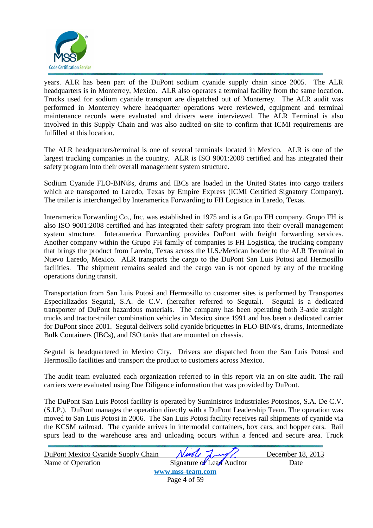

years. ALR has been part of the DuPont sodium cyanide supply chain since 2005. The ALR headquarters is in Monterrey, Mexico. ALR also operates a terminal facility from the same location. Trucks used for sodium cyanide transport are dispatched out of Monterrey. The ALR audit was performed in Monterrey where headquarter operations were reviewed, equipment and terminal maintenance records were evaluated and drivers were interviewed. The ALR Terminal is also involved in this Supply Chain and was also audited on-site to confirm that ICMI requirements are fulfilled at this location.

The ALR headquarters/terminal is one of several terminals located in Mexico. ALR is one of the largest trucking companies in the country. ALR is ISO 9001:2008 certified and has integrated their safety program into their overall management system structure.

Sodium Cyanide FLO-BIN®s, drums and IBCs are loaded in the United States into cargo trailers which are transported to Laredo, Texas by Empire Express (ICMI Certified Signatory Company). The trailer is interchanged by Interamerica Forwarding to FH Logistica in Laredo, Texas.

Interamerica Forwarding Co., Inc. was established in 1975 and is a Grupo FH company. Grupo FH is also ISO 9001:2008 certified and has integrated their safety program into their overall management system structure. Interamerica Forwarding provides DuPont with freight forwarding services. Another company within the Grupo FH family of companies is FH Logistica, the trucking company that brings the product from Laredo, Texas across the U.S./Mexican border to the ALR Terminal in Nuevo Laredo, Mexico. ALR transports the cargo to the DuPont San Luis Potosi and Hermosillo facilities. The shipment remains sealed and the cargo van is not opened by any of the trucking operations during transit.

Transportation from San Luis Potosi and Hermosillo to customer sites is performed by Transportes Especializados Segutal, S.A. de C.V. (hereafter referred to Segutal). Segutal is a dedicated transporter of DuPont hazardous materials. The company has been operating both 3-axle straight trucks and tractor-trailer combination vehicles in Mexico since 1991 and has been a dedicated carrier for DuPont since 2001. Segutal delivers solid cyanide briquettes in FLO-BIN®s, drums, Intermediate Bulk Containers (IBCs), and ISO tanks that are mounted on chassis.

Segutal is headquartered in Mexico City. Drivers are dispatched from the San Luis Potosi and Hermosillo facilities and transport the product to customers across Mexico.

The audit team evaluated each organization referred to in this report via an on-site audit. The rail carriers were evaluated using Due Diligence information that was provided by DuPont.

The DuPont San Luis Potosi facility is operated by Suministros Industriales Potosinos, S.A. De C.V. (S.I.P.). DuPont manages the operation directly with a DuPont Leadership Team. The operation was moved to San Luis Potosi in 2006. The San Luis Potosi facility receives rail shipments of cyanide via the KCSM railroad. The cyanide arrives in intermodal containers, box cars, and hopper cars. Rail spurs lead to the warehouse area and unloading occurs within a fenced and secure area. Truck

| DuPont Mexico Cyanide Supply Chain | Ningle Lung/              | December 18, 2013 |
|------------------------------------|---------------------------|-------------------|
| Name of Operation                  | Signature of Lead Auditor | Date              |
|                                    | www.mss-team.com          |                   |
|                                    | Page 4 of 59              |                   |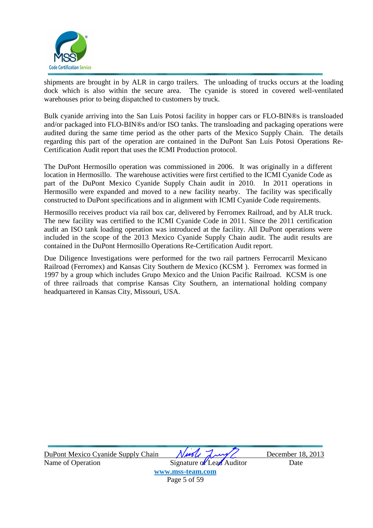

shipments are brought in by ALR in cargo trailers. The unloading of trucks occurs at the loading dock which is also within the secure area. The cyanide is stored in covered well-ventilated warehouses prior to being dispatched to customers by truck.

Bulk cyanide arriving into the San Luis Potosi facility in hopper cars or FLO-BIN®s is transloaded and/or packaged into FLO-BIN®s and/or ISO tanks. The transloading and packaging operations were audited during the same time period as the other parts of the Mexico Supply Chain. The details regarding this part of the operation are contained in the DuPont San Luis Potosi Operations Re-Certification Audit report that uses the ICMI Production protocol.

The DuPont Hermosillo operation was commissioned in 2006. It was originally in a different location in Hermosillo. The warehouse activities were first certified to the ICMI Cyanide Code as part of the DuPont Mexico Cyanide Supply Chain audit in 2010. In 2011 operations in Hermosillo were expanded and moved to a new facility nearby. The facility was specifically constructed to DuPont specifications and in alignment with ICMI Cyanide Code requirements.

Hermosillo receives product via rail box car, delivered by Ferromex Railroad, and by ALR truck. The new facility was certified to the ICMI Cyanide Code in 2011. Since the 2011 certification audit an ISO tank loading operation was introduced at the facility. All DuPont operations were included in the scope of the 2013 Mexico Cyanide Supply Chain audit. The audit results are contained in the DuPont Hermosillo Operations Re-Certification Audit report.

Due Diligence Investigations were performed for the two rail partners Ferrocarril Mexicano Railroad (Ferromex) and Kansas City Southern de Mexico (KCSM ). Ferromex was formed in 1997 by a group which includes Grupo Mexico and the Union Pacific Railroad. KCSM is one of three railroads that comprise Kansas City Southern, an international holding company headquartered in Kansas City, Missouri, USA.

| DuPont Mexico Cyanide Supply Chain | Nurle Luy                 | December 18, 2013 |
|------------------------------------|---------------------------|-------------------|
| Name of Operation                  | Signature of Lead Auditor | Date              |
|                                    | www.mss-team.com          |                   |
|                                    | Page 5 of 59              |                   |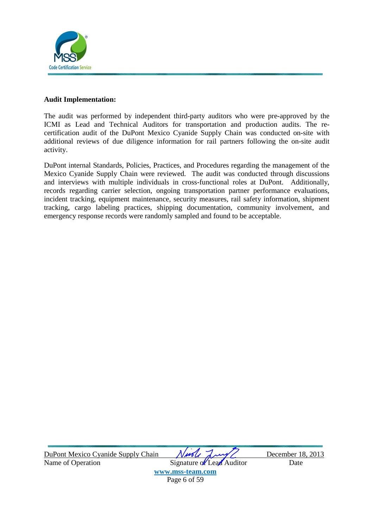

#### **Audit Implementation:**

The audit was performed by independent third-party auditors who were pre-approved by the ICMI as Lead and Technical Auditors for transportation and production audits. The recertification audit of the DuPont Mexico Cyanide Supply Chain was conducted on-site with additional reviews of due diligence information for rail partners following the on-site audit activity.

DuPont internal Standards, Policies, Practices, and Procedures regarding the management of the Mexico Cyanide Supply Chain were reviewed. The audit was conducted through discussions and interviews with multiple individuals in cross-functional roles at DuPont. Additionally, records regarding carrier selection, ongoing transportation partner performance evaluations, incident tracking, equipment maintenance, security measures, rail safety information, shipment tracking, cargo labeling practices, shipping documentation, community involvement, and emergency response records were randomly sampled and found to be acceptable.

DuPont Mexico Cyanide Supply Chain *Nurely Lawy* December 18, 2013 Name of Operation Signature of Lead Auditor Date

**www.mss-team.com** Page 6 of 59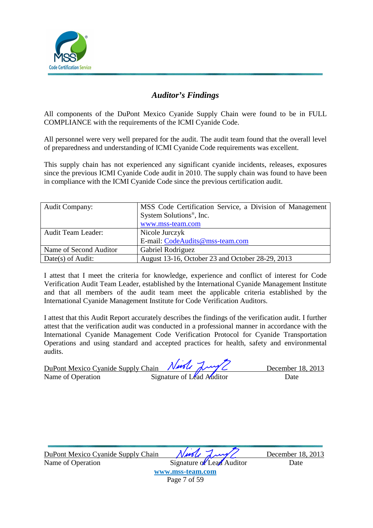

### *Auditor's Findings*

All components of the DuPont Mexico Cyanide Supply Chain were found to be in FULL COMPLIANCE with the requirements of the ICMI Cyanide Code.

All personnel were very well prepared for the audit. The audit team found that the overall level of preparedness and understanding of ICMI Cyanide Code requirements was excellent.

This supply chain has not experienced any significant cyanide incidents, releases, exposures since the previous ICMI Cyanide Code audit in 2010. The supply chain was found to have been in compliance with the ICMI Cyanide Code since the previous certification audit.

| <b>Audit Company:</b>     | MSS Code Certification Service, a Division of Management |
|---------------------------|----------------------------------------------------------|
|                           | System Solutions <sup>®</sup> , Inc.                     |
|                           | www.mss-team.com                                         |
| <b>Audit Team Leader:</b> | Nicole Jurczyk                                           |
|                           | E-mail: CodeAudits@mss-team.com                          |
| Name of Second Auditor    | Gabriel Rodriguez                                        |
| Date(s) of Audit:         | August 13-16, October 23 and October 28-29, 2013         |

I attest that I meet the criteria for knowledge, experience and conflict of interest for Code Verification Audit Team Leader, established by the International Cyanide Management Institute and that all members of the audit team meet the applicable criteria established by the International Cyanide Management Institute for Code Verification Auditors.

I attest that this Audit Report accurately describes the findings of the verification audit. I further attest that the verification audit was conducted in a professional manner in accordance with the International Cyanide Management Code Verification Protocol for Cyanide Transportation Operations and using standard and accepted practices for health, safety and environmental audits.

| DuPont Mexico Cyanide Supply Chain Ningle Luy |                           | December 18, 2013 |
|-----------------------------------------------|---------------------------|-------------------|
| Name of Operation                             | Signature of Lead Auditor | Date              |

| DuPont Mexico Cyanide Supply Chain | Ningle Lung               | December 18, 2013 |
|------------------------------------|---------------------------|-------------------|
| Name of Operation                  | Signature of Lead Auditor | Date              |
|                                    | www.mss-team.com          |                   |
|                                    | Page 7 of 59              |                   |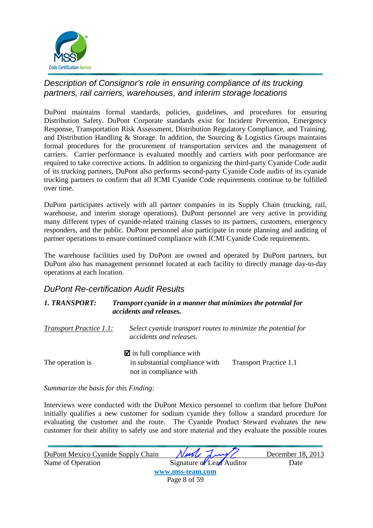

### Description of Consignor's role in ensuring compliance of its trucking partners, rail carriers, warehouses, and interim storage locations

DuPont maintains formal standards, policies, guidelines, and procedures for ensuring Distribution Safety. DuPont Corporate standards exist for Incident Prevention, Emergency Response, Transportation Risk Assessment, Distribution Regulatory Compliance, and Training, and Distribution Handling & Storage. In addition, the Sourcing & Logistics Groups maintains formal procedures for the procurement of transportation services and the management of carriers. Carrier performance is evaluated monthly and carriers with poor performance are required to take corrective actions. In addition to organizing the third-party Cyanide Code audit of its trucking partners, DuPont also performs second-party Cyanide Code audits of its cyanide trucking partners to confirm that all ICMI Cyanide Code requirements continue to be fulfilled over time.

DuPont participates actively with all partner companies in its Supply Chain (trucking, rail, warehouse, and interim storage operations). DuPont personnel are very active in providing many different types of cyanide-related training classes to its partners, customers, emergency responders, and the public. DuPont personnel also participate in route planning and auditing of partner operations to ensure continued compliance with ICMI Cyanide Code requirements.

The warehouse facilities used by DuPont are owned and operated by DuPont partners, but DuPont also has management personnel located at each facility to directly manage day-to-day operations at each location.

### DuPont Re-certification Audit Results

#### *1. TRANSPORT: Transport cyanide in a manner that minimizes the potential for accidents and releases.*

*Transport Practice 1.1: Select cyanide transport routes to minimize the potential for accidents and releases.*   $\blacksquare$  in full compliance with The operation is  $\qquad \qquad$  in substantial compliance with Transport Practice 1.1 not in compliance with

*Summarize the basis for this Finding:* 

Interviews were conducted with the DuPont Mexico personnel to confirm that before DuPont initially qualifies a new customer for sodium cyanide they follow a standard procedure for evaluating the customer and the route. The Cyanide Product Steward evaluates the new customer for their ability to safely use and store material and they evaluate the possible routes

| DuPont Mexico Cyanide Supply Chain | Ningle Lung/              | December 18, 2013 |
|------------------------------------|---------------------------|-------------------|
| Name of Operation                  | Signature of Lead Auditor | Date              |
|                                    | www.mss-team.com          |                   |
|                                    | Page 8 of 59              |                   |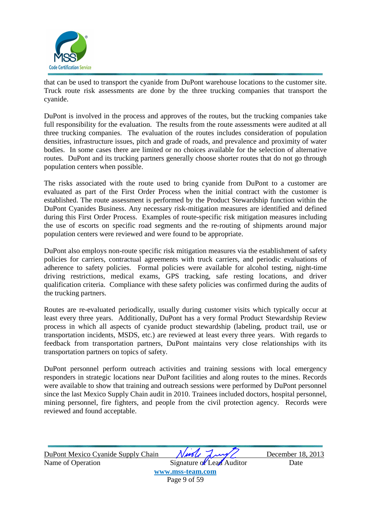

that can be used to transport the cyanide from DuPont warehouse locations to the customer site. Truck route risk assessments are done by the three trucking companies that transport the cyanide.

DuPont is involved in the process and approves of the routes, but the trucking companies take full responsibility for the evaluation. The results from the route assessments were audited at all three trucking companies. The evaluation of the routes includes consideration of population densities, infrastructure issues, pitch and grade of roads, and prevalence and proximity of water bodies. In some cases there are limited or no choices available for the selection of alternative routes. DuPont and its trucking partners generally choose shorter routes that do not go through population centers when possible.

The risks associated with the route used to bring cyanide from DuPont to a customer are evaluated as part of the First Order Process when the initial contract with the customer is established. The route assessment is performed by the Product Stewardship function within the DuPont Cyanides Business. Any necessary risk-mitigation measures are identified and defined during this First Order Process. Examples of route-specific risk mitigation measures including the use of escorts on specific road segments and the re-routing of shipments around major population centers were reviewed and were found to be appropriate.

DuPont also employs non-route specific risk mitigation measures via the establishment of safety policies for carriers, contractual agreements with truck carriers, and periodic evaluations of adherence to safety policies. Formal policies were available for alcohol testing, night-time driving restrictions, medical exams, GPS tracking, safe resting locations, and driver qualification criteria. Compliance with these safety policies was confirmed during the audits of the trucking partners.

Routes are re-evaluated periodically, usually during customer visits which typically occur at least every three years. Additionally, DuPont has a very formal Product Stewardship Review process in which all aspects of cyanide product stewardship (labeling, product trail, use or transportation incidents, MSDS, etc.) are reviewed at least every three years. With regards to feedback from transportation partners, DuPont maintains very close relationships with its transportation partners on topics of safety.

DuPont personnel perform outreach activities and training sessions with local emergency responders in strategic locations near DuPont facilities and along routes to the mines. Records were available to show that training and outreach sessions were performed by DuPont personnel since the last Mexico Supply Chain audit in 2010. Trainees included doctors, hospital personnel, mining personnel, fire fighters, and people from the civil protection agency. Records were reviewed and found acceptable.

| DuPont Mexico Cyanide Supply Chain | Nuole Luy                 | December 18, 2013 |
|------------------------------------|---------------------------|-------------------|
| Name of Operation                  | Signature of Lead Auditor | Date              |
|                                    | www.mss-team.com          |                   |
|                                    | Page 9 of 59              |                   |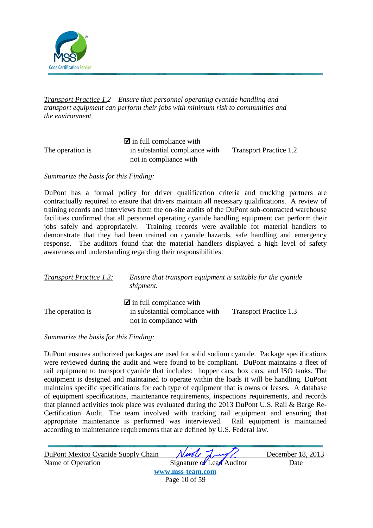

*Transport Practice 1.2 Ensure that personnel operating cyanide handling and transport equipment can perform their jobs with minimum risk to communities and the environment.* 

|                  | $\blacksquare$ in full compliance with |                               |
|------------------|----------------------------------------|-------------------------------|
| The operation is | in substantial compliance with         | <b>Transport Practice 1.2</b> |
|                  | not in compliance with                 |                               |

*Summarize the basis for this Finding:* 

DuPont has a formal policy for driver qualification criteria and trucking partners are contractually required to ensure that drivers maintain all necessary qualifications. A review of training records and interviews from the on-site audits of the DuPont sub-contracted warehouse facilities confirmed that all personnel operating cyanide handling equipment can perform their jobs safely and appropriately. Training records were available for material handlers to demonstrate that they had been trained on cyanide hazards, safe handling and emergency response. The auditors found that the material handlers displayed a high level of safety awareness and understanding regarding their responsibilities.

| <b>Transport Practice 1.3:</b> | Ensure that transport equipment is suitable for the cyanide<br>shipment.                           |                               |
|--------------------------------|----------------------------------------------------------------------------------------------------|-------------------------------|
| The operation is               | $\blacksquare$ in full compliance with<br>in substantial compliance with<br>not in compliance with | <b>Transport Practice 1.3</b> |

*Summarize the basis for this Finding:* 

DuPont ensures authorized packages are used for solid sodium cyanide. Package specifications were reviewed during the audit and were found to be compliant. DuPont maintains a fleet of rail equipment to transport cyanide that includes: hopper cars, box cars, and ISO tanks. The equipment is designed and maintained to operate within the loads it will be handling. DuPont maintains specific specifications for each type of equipment that is owns or leases. A database of equipment specifications, maintenance requirements, inspections requirements, and records that planned activities took place was evaluated during the 2013 DuPont U.S. Rail & Barge Re-Certification Audit. The team involved with tracking rail equipment and ensuring that appropriate maintenance is performed was interviewed. Rail equipment is maintained according to maintenance requirements that are defined by U.S. Federal law.

| DuPont Mexico Cyanide Supply Chain | Niede Lung                | December 18, 2013 |
|------------------------------------|---------------------------|-------------------|
| Name of Operation                  | Signature of Lead Auditor | Date              |
|                                    | www.mss-team.com          |                   |
|                                    | Page 10 of 59             |                   |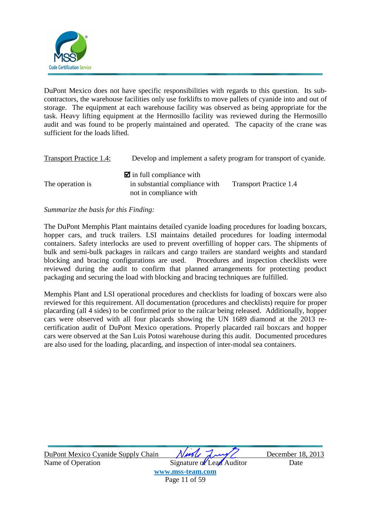

DuPont Mexico does not have specific responsibilities with regards to this question. Its subcontractors, the warehouse facilities only use forklifts to move pallets of cyanide into and out of storage. The equipment at each warehouse facility was observed as being appropriate for the task. Heavy lifting equipment at the Hermosillo facility was reviewed during the Hermosillo audit and was found to be properly maintained and operated. The capacity of the crane was sufficient for the loads lifted.

| <b>Transport Practice 1.4:</b> | Develop and implement a safety program for transport of cyanide.                                   |                               |
|--------------------------------|----------------------------------------------------------------------------------------------------|-------------------------------|
| The operation is               | $\blacksquare$ in full compliance with<br>in substantial compliance with<br>not in compliance with | <b>Transport Practice 1.4</b> |

#### *Summarize the basis for this Finding:*

The DuPont Memphis Plant maintains detailed cyanide loading procedures for loading boxcars, hopper cars, and truck trailers. LSI maintains detailed procedures for loading intermodal containers. Safety interlocks are used to prevent overfilling of hopper cars. The shipments of bulk and semi-bulk packages in railcars and cargo trailers are standard weights and standard blocking and bracing configurations are used. Procedures and inspection checklists were reviewed during the audit to confirm that planned arrangements for protecting product packaging and securing the load with blocking and bracing techniques are fulfilled.

Memphis Plant and LSI operational procedures and checklists for loading of boxcars were also reviewed for this requirement. All documentation (procedures and checklists) require for proper placarding (all 4 sides) to be confirmed prior to the railcar being released. Additionally, hopper cars were observed with all four placards showing the UN 1689 diamond at the 2013 recertification audit of DuPont Mexico operations. Properly placarded rail boxcars and hopper cars were observed at the San Luis Potosi warehouse during this audit. Documented procedures are also used for the loading, placarding, and inspection of inter-modal sea containers.

| DuPont Mexico Cyanide Supply Chain | Nuole Luy                 | December 18, 2013 |
|------------------------------------|---------------------------|-------------------|
| Name of Operation                  | Signature of Lead Auditor | Date              |
|                                    | www.mss-team.com          |                   |
|                                    | Page 11 of 59             |                   |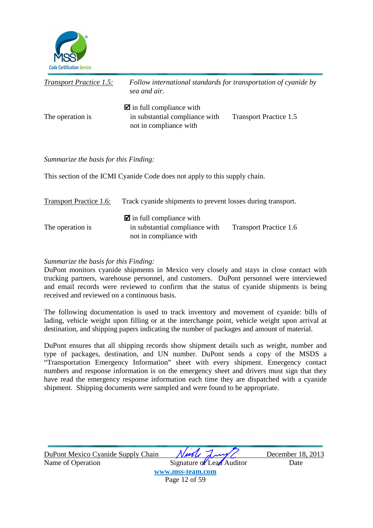

| <b>Transport Practice 1.5:</b> | Follow international standards for transportation of cyanide by<br>sea and air.                    |                               |
|--------------------------------|----------------------------------------------------------------------------------------------------|-------------------------------|
| The operation is               | $\blacksquare$ in full compliance with<br>in substantial compliance with<br>not in compliance with | <b>Transport Practice 1.5</b> |

This section of the ICMI Cyanide Code does not apply to this supply chain.

| Transport Practice 1.6: | Track cyanide shipments to prevent losses during transport.                                        |                               |
|-------------------------|----------------------------------------------------------------------------------------------------|-------------------------------|
| The operation is        | $\blacksquare$ in full compliance with<br>in substantial compliance with<br>not in compliance with | <b>Transport Practice 1.6</b> |

#### *Summarize the basis for this Finding:*

DuPont monitors cyanide shipments in Mexico very closely and stays in close contact with trucking partners, warehouse personnel, and customers. DuPont personnel were interviewed and email records were reviewed to confirm that the status of cyanide shipments is being received and reviewed on a continuous basis.

The following documentation is used to track inventory and movement of cyanide: bills of lading, vehicle weight upon filling or at the interchange point, vehicle weight upon arrival at destination, and shipping papers indicating the number of packages and amount of material.

DuPont ensures that all shipping records show shipment details such as weight, number and type of packages, destination, and UN number. DuPont sends a copy of the MSDS a "Transportation Emergency Information" sheet with every shipment. Emergency contact numbers and response information is on the emergency sheet and drivers must sign that they have read the emergency response information each time they are dispatched with a cyanide shipment. Shipping documents were sampled and were found to be appropriate.

| DuPont Mexico Cyanide Supply Chain | Nuole Lung/               | December 18, 2013 |
|------------------------------------|---------------------------|-------------------|
| Name of Operation                  | Signature of Lead Auditor | Date              |
|                                    | www.mss-team.com          |                   |
|                                    | Page 12 of 59             |                   |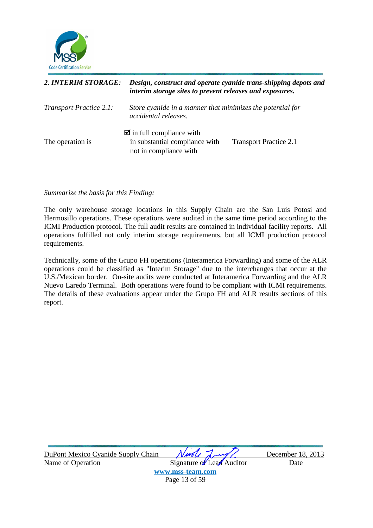

| 2. INTERIM STORAGE:            | Design, construct and operate cyanide trans-shipping depots and<br>interim storage sites to prevent releases and exposures. |                               |
|--------------------------------|-----------------------------------------------------------------------------------------------------------------------------|-------------------------------|
| <b>Transport Practice 2.1:</b> | Store cyanide in a manner that minimizes the potential for<br>accidental releases.                                          |                               |
| The operation is               | $\blacksquare$ in full compliance with<br>in substantial compliance with<br>not in compliance with                          | <b>Transport Practice 2.1</b> |

The only warehouse storage locations in this Supply Chain are the San Luis Potosi and Hermosillo operations. These operations were audited in the same time period according to the ICMI Production protocol. The full audit results are contained in individual facility reports. All operations fulfilled not only interim storage requirements, but all ICMI production protocol requirements.

Technically, some of the Grupo FH operations (Interamerica Forwarding) and some of the ALR operations could be classified as "Interim Storage" due to the interchanges that occur at the U.S./Mexican border. On-site audits were conducted at Interamerica Forwarding and the ALR Nuevo Laredo Terminal. Both operations were found to be compliant with ICMI requirements. The details of these evaluations appear under the Grupo FH and ALR results sections of this report.

| DuPont Mexico Cyanide Supply Chain | Ningle Lung/              | December 18, 2013 |
|------------------------------------|---------------------------|-------------------|
| Name of Operation                  | Signature of Lead Auditor | Date              |
|                                    | www.mss-team.com          |                   |
|                                    | Page 13 of 59             |                   |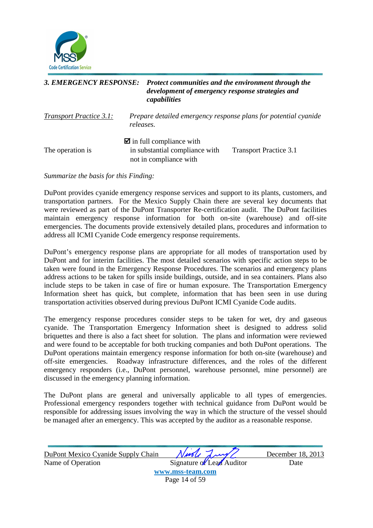

### *3. EMERGENCY RESPONSE: Protect communities and the environment through the development of emergency response strategies and capabilities*

*Transport Practice 3.1: Prepare detailed emergency response plans for potential cyanide releases.* 

|                  | $\blacksquare$ in full compliance with |                               |
|------------------|----------------------------------------|-------------------------------|
| The operation is | in substantial compliance with         | <b>Transport Practice 3.1</b> |
|                  | not in compliance with                 |                               |

*Summarize the basis for this Finding:* 

DuPont provides cyanide emergency response services and support to its plants, customers, and transportation partners. For the Mexico Supply Chain there are several key documents that were reviewed as part of the DuPont Transporter Re-certification audit. The DuPont facilities maintain emergency response information for both on-site (warehouse) and off-site emergencies. The documents provide extensively detailed plans, procedures and information to address all ICMI Cyanide Code emergency response requirements.

DuPont's emergency response plans are appropriate for all modes of transportation used by DuPont and for interim facilities. The most detailed scenarios with specific action steps to be taken were found in the Emergency Response Procedures. The scenarios and emergency plans address actions to be taken for spills inside buildings, outside, and in sea containers. Plans also include steps to be taken in case of fire or human exposure. The Transportation Emergency Information sheet has quick, but complete, information that has been seen in use during transportation activities observed during previous DuPont ICMI Cyanide Code audits.

The emergency response procedures consider steps to be taken for wet, dry and gaseous cyanide. The Transportation Emergency Information sheet is designed to address solid briquettes and there is also a fact sheet for solution. The plans and information were reviewed and were found to be acceptable for both trucking companies and both DuPont operations. The DuPont operations maintain emergency response information for both on-site (warehouse) and off-site emergencies. Roadway infrastructure differences, and the roles of the different emergency responders (i.e., DuPont personnel, warehouse personnel, mine personnel) are discussed in the emergency planning information.

The DuPont plans are general and universally applicable to all types of emergencies. Professional emergency responders together with technical guidance from DuPont would be responsible for addressing issues involving the way in which the structure of the vessel should be managed after an emergency. This was accepted by the auditor as a reasonable response.

| DuPont Mexico Cyanide Supply Chain | Nuole Lung                | December 18, 2013 |
|------------------------------------|---------------------------|-------------------|
| Name of Operation                  | Signature of Lead Auditor | Date              |
|                                    | www.mss-team.com          |                   |
|                                    | Page 14 of 59             |                   |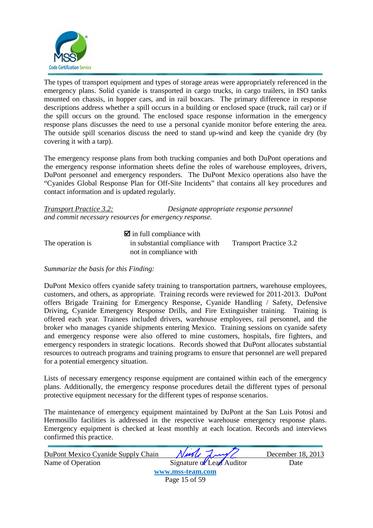

The types of transport equipment and types of storage areas were appropriately referenced in the emergency plans. Solid cyanide is transported in cargo trucks, in cargo trailers, in ISO tanks mounted on chassis, in hopper cars, and in rail boxcars. The primary difference in response descriptions address whether a spill occurs in a building or enclosed space (truck, rail car) or if the spill occurs on the ground. The enclosed space response information in the emergency response plans discusses the need to use a personal cyanide monitor before entering the area. The outside spill scenarios discuss the need to stand up-wind and keep the cyanide dry (by covering it with a tarp).

The emergency response plans from both trucking companies and both DuPont operations and the emergency response information sheets define the roles of warehouse employees, drivers, DuPont personnel and emergency responders. The DuPont Mexico operations also have the "Cyanides Global Response Plan for Off-Site Incidents" that contains all key procedures and contact information and is updated regularly.

| <b>Transport Practice 3.2:</b>                         | Designate appropriate response personnel |
|--------------------------------------------------------|------------------------------------------|
| and commit necessary resources for emergency response. |                                          |

|                  | $\blacksquare$ in full compliance with |                               |
|------------------|----------------------------------------|-------------------------------|
| The operation is | in substantial compliance with         | <b>Transport Practice 3.2</b> |
|                  | not in compliance with                 |                               |

#### *Summarize the basis for this Finding:*

DuPont Mexico offers cyanide safety training to transportation partners, warehouse employees, customers, and others, as appropriate. Training records were reviewed for 2011-2013. DuPont offers Brigade Training for Emergency Response, Cyanide Handling / Safety, Defensive Driving, Cyanide Emergency Response Drills, and Fire Extinguisher training. Training is offered each year. Trainees included drivers, warehouse employees, rail personnel, and the broker who manages cyanide shipments entering Mexico. Training sessions on cyanide safety and emergency response were also offered to mine customers, hospitals, fire fighters, and emergency responders in strategic locations. Records showed that DuPont allocates substantial resources to outreach programs and training programs to ensure that personnel are well prepared for a potential emergency situation.

Lists of necessary emergency response equipment are contained within each of the emergency plans. Additionally, the emergency response procedures detail the different types of personal protective equipment necessary for the different types of response scenarios.

The maintenance of emergency equipment maintained by DuPont at the San Luis Potosi and Hermosillo facilities is addressed in the respective warehouse emergency response plans. Emergency equipment is checked at least monthly at each location. Records and interviews confirmed this practice.

| DuPont Mexico Cyanide Supply Chain | Nurle Lung/               | December 18, 2013 |
|------------------------------------|---------------------------|-------------------|
| Name of Operation                  | Signature of Lead Auditor | Date              |
|                                    | www.mss-team.com          |                   |
|                                    | Page 15 of 59             |                   |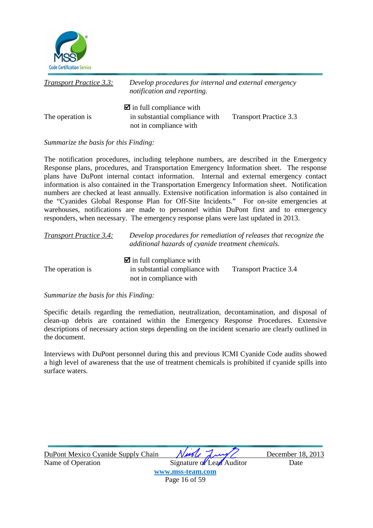

| <b>Transport Practice 3.3:</b> | Develop procedures for internal and external emergency<br>notification and reporting.              |                               |
|--------------------------------|----------------------------------------------------------------------------------------------------|-------------------------------|
| The operation is               | $\blacksquare$ in full compliance with<br>in substantial compliance with<br>not in compliance with | <b>Transport Practice 3.3</b> |

The notification procedures, including telephone numbers, are described in the Emergency Response plans, procedures, and Transportation Emergency Information sheet. The response plans have DuPont internal contact information. Internal and external emergency contact information is also contained in the Transportation Emergency Information sheet. Notification numbers are checked at least annually. Extensive notification information is also contained in the "Cyanides Global Response Plan for Off-Site Incidents." For on-site emergencies at warehouses, notifications are made to personnel within DuPont first and to emergency responders, when necessary. The emergency response plans were last updated in 2013.

| <b>Transport Practice 3.4:</b> | Develop procedures for remediation of releases that recognize the<br>additional hazards of cyanide treatment chemicals. |                               |
|--------------------------------|-------------------------------------------------------------------------------------------------------------------------|-------------------------------|
| The operation is               | $\blacksquare$ in full compliance with<br>in substantial compliance with                                                | <b>Transport Practice 3.4</b> |
|                                | not in compliance with                                                                                                  |                               |

#### *Summarize the basis for this Finding:*

Specific details regarding the remediation, neutralization, decontamination, and disposal of clean-up debris are contained within the Emergency Response Procedures. Extensive descriptions of necessary action steps depending on the incident scenario are clearly outlined in the document.

Interviews with DuPont personnel during this and previous ICMI Cyanide Code audits showed a high level of awareness that the use of treatment chemicals is prohibited if cyanide spills into surface waters.

| DuPont Mexico Cyanide Supply Chain | Nuole Lung                | December 18, 2013 |
|------------------------------------|---------------------------|-------------------|
| Name of Operation                  | Signature of Lead Auditor | Date              |
|                                    | www.mss-team.com          |                   |
|                                    | Page 16 of 59             |                   |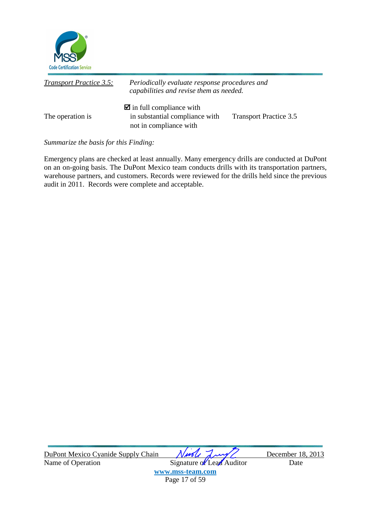

| <b>Transport Practice 3.5:</b> | Periodically evaluate response procedures and<br>capabilities and revise them as needed.           |                               |
|--------------------------------|----------------------------------------------------------------------------------------------------|-------------------------------|
| The operation is               | $\blacksquare$ in full compliance with<br>in substantial compliance with<br>not in compliance with | <b>Transport Practice 3.5</b> |

Emergency plans are checked at least annually. Many emergency drills are conducted at DuPont on an on-going basis. The DuPont Mexico team conducts drills with its transportation partners, warehouse partners, and customers. Records were reviewed for the drills held since the previous audit in 2011. Records were complete and acceptable.

| DuPont Mexico Cyanide Supply Chain | Ningle Lung/              | December 18, 2013 |
|------------------------------------|---------------------------|-------------------|
| Name of Operation                  | Signature of Lead Auditor | Date              |
|                                    | www.mss-team.com          |                   |
|                                    | Page 17 of 59             |                   |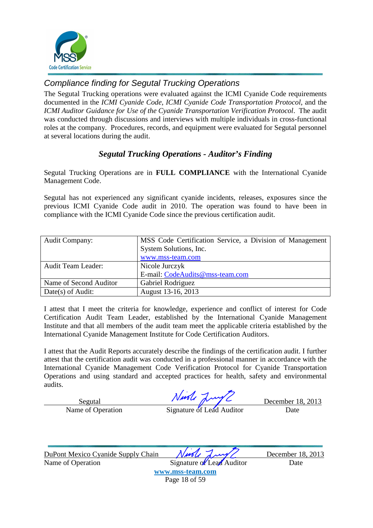

### Compliance finding for Segutal Trucking Operations

The Segutal Trucking operations were evaluated against the ICMI Cyanide Code requirements documented in the *ICMI Cyanide Code*, *ICMI Cyanide Code Transportation Protocol*, and the *ICMI Auditor Guidance for Use of the Cyanide Transportation Verification Protocol*. The audit was conducted through discussions and interviews with multiple individuals in cross-functional roles at the company. Procedures, records, and equipment were evaluated for Segutal personnel at several locations during the audit.

### *Segutal Trucking Operations - Auditor's Finding*

Segutal Trucking Operations are in **FULL COMPLIANCE** with the International Cyanide Management Code.

Segutal has not experienced any significant cyanide incidents, releases, exposures since the previous ICMI Cyanide Code audit in 2010. The operation was found to have been in compliance with the ICMI Cyanide Code since the previous certification audit.

| <b>Audit Company:</b>     | MSS Code Certification Service, a Division of Management |
|---------------------------|----------------------------------------------------------|
|                           | System Solutions, Inc.                                   |
|                           | www.mss-team.com                                         |
| <b>Audit Team Leader:</b> | Nicole Jurczyk                                           |
|                           | E-mail: CodeAudits@mss-team.com                          |
| Name of Second Auditor    | Gabriel Rodriguez                                        |
| Date(s) of Audit:         | August 13-16, 2013                                       |

I attest that I meet the criteria for knowledge, experience and conflict of interest for Code Certification Audit Team Leader, established by the International Cyanide Management Institute and that all members of the audit team meet the applicable criteria established by the International Cyanide Management Institute for Code Certification Auditors.

I attest that the Audit Reports accurately describe the findings of the certification audit. I further attest that the certification audit was conducted in a professional manner in accordance with the International Cyanide Management Code Verification Protocol for Cyanide Transportation Operations and using standard and accepted practices for health, safety and environmental audits.

Segutal  $\sqrt{w \cdot w}$   $\sqrt{w \cdot w}$  December 18, 2013

Name of Operation Signature of Lead Auditor Date

DuPont Mexico Cyanide Supply Chain *Nurth Lawy* Name of Operation Signature of Lead Auditor Date

**www.mss-team.com**

Page 18 of 59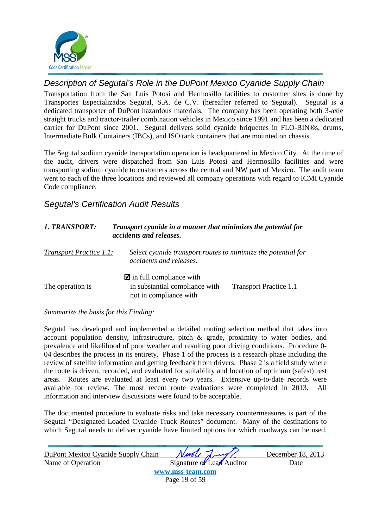

### Description of Segutal's Role in the DuPont Mexico Cyanide Supply Chain

Transportation from the San Luis Potosi and Hermosillo facilities to customer sites is done by Transportes Especializados Segutal, S.A. de C.V. (hereafter referred to Segutal). Segutal is a dedicated transporter of DuPont hazardous materials. The company has been operating both 3-axle straight trucks and tractor-trailer combination vehicles in Mexico since 1991 and has been a dedicated carrier for DuPont since 2001. Segutal delivers solid cyanide briquettes in FLO-BIN®s, drums, Intermediate Bulk Containers (IBCs), and ISO tank containers that are mounted on chassis.

The Segutal sodium cyanide transportation operation is headquartered in Mexico City. At the time of the audit, drivers were dispatched from San Luis Potosi and Hermosillo facilities and were transporting sodium cyanide to customers across the central and NW part of Mexico. The audit team went to each of the three locations and reviewed all company operations with regard to ICMI Cyanide Code compliance.

### Segutal's Certification Audit Results

| 1. TRANSPORT:           | Transport cyanide in a manner that minimizes the potential for<br>accidents and releases.          |                               |
|-------------------------|----------------------------------------------------------------------------------------------------|-------------------------------|
| Transport Practice 1.1: | Select cyanide transport routes to minimize the potential for<br>accidents and releases.           |                               |
| The operation is        | $\blacksquare$ in full compliance with<br>in substantial compliance with<br>not in compliance with | <b>Transport Practice 1.1</b> |

#### *Summarize the basis for this Finding:*

Segutal has developed and implemented a detailed routing selection method that takes into account population density, infrastructure, pitch & grade, proximity to water bodies, and prevalence and likelihood of poor weather and resulting poor driving conditions. Procedure 0- 04 describes the process in its entirety. Phase 1 of the process is a research phase including the review of satellite information and getting feedback from drivers. Phase 2 is a field study where the route is driven, recorded, and evaluated for suitability and location of optimum (safest) rest areas. Routes are evaluated at least every two years. Extensive up-to-date records were available for review. The most recent route evaluations were completed in 2013. All information and interview discussions were found to be acceptable.

The documented procedure to evaluate risks and take necessary countermeasures is part of the Segutal "Designated Loaded Cyanide Truck Routes" document. Many of the destinations to which Segutal needs to deliver cyanide have limited options for which roadways can be used.

| DuPont Mexico Cyanide Supply Chain | Nurle Lung                | December 18, 2013 |
|------------------------------------|---------------------------|-------------------|
| Name of Operation                  | Signature of Lead Auditor | Date              |
|                                    | www.mss-team.com          |                   |
|                                    | Page 19 of 59             |                   |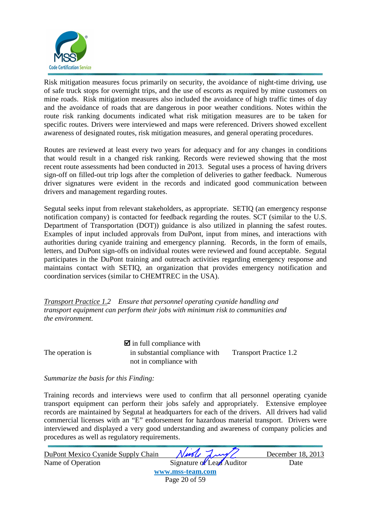![](_page_20_Picture_0.jpeg)

Risk mitigation measures focus primarily on security, the avoidance of night-time driving, use of safe truck stops for overnight trips, and the use of escorts as required by mine customers on mine roads. Risk mitigation measures also included the avoidance of high traffic times of day and the avoidance of roads that are dangerous in poor weather conditions. Notes within the route risk ranking documents indicated what risk mitigation measures are to be taken for specific routes. Drivers were interviewed and maps were referenced. Drivers showed excellent awareness of designated routes, risk mitigation measures, and general operating procedures.

Routes are reviewed at least every two years for adequacy and for any changes in conditions that would result in a changed risk ranking. Records were reviewed showing that the most recent route assessments had been conducted in 2013. Segutal uses a process of having drivers sign-off on filled-out trip logs after the completion of deliveries to gather feedback. Numerous driver signatures were evident in the records and indicated good communication between drivers and management regarding routes.

Segutal seeks input from relevant stakeholders, as appropriate. SETIQ (an emergency response notification company) is contacted for feedback regarding the routes. SCT (similar to the U.S. Department of Transportation (DOT)) guidance is also utilized in planning the safest routes. Examples of input included approvals from DuPont, input from mines, and interactions with authorities during cyanide training and emergency planning. Records, in the form of emails, letters, and DuPont sign-offs on individual routes were reviewed and found acceptable. Segutal participates in the DuPont training and outreach activities regarding emergency response and maintains contact with SETIQ, an organization that provides emergency notification and coordination services (similar to CHEMTREC in the USA).

*Transport Practice 1.2 Ensure that personnel operating cyanide handling and transport equipment can perform their jobs with minimum risk to communities and the environment.* 

 $\blacksquare$  in full compliance with The operation is in substantial compliance with Transport Practice 1.2 not in compliance with

#### *Summarize the basis for this Finding:*

Training records and interviews were used to confirm that all personnel operating cyanide transport equipment can perform their jobs safely and appropriately. Extensive employee records are maintained by Segutal at headquarters for each of the drivers. All drivers had valid commercial licenses with an "E" endorsement for hazardous material transport. Drivers were interviewed and displayed a very good understanding and awareness of company policies and procedures as well as regulatory requirements.

| DuPont Mexico Cyanide Supply Chain | Nurle Lung/               | December 18, 2013 |
|------------------------------------|---------------------------|-------------------|
| Name of Operation                  | Signature of Lead Auditor | Date              |
|                                    | www.mss-team.com          |                   |
|                                    | Page 20 of 59             |                   |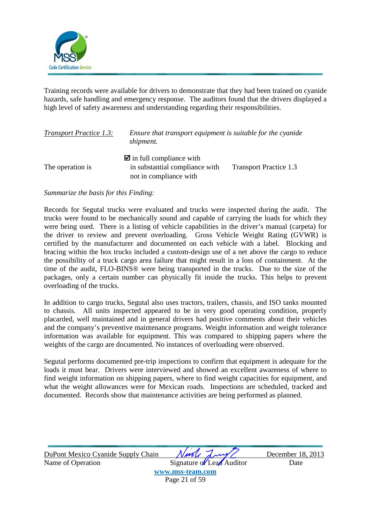![](_page_21_Picture_0.jpeg)

Training records were available for drivers to demonstrate that they had been trained on cyanide hazards, safe handling and emergency response. The auditors found that the drivers displayed a high level of safety awareness and understanding regarding their responsibilities.

| <b>Transport Practice 1.3:</b> | Ensure that transport equipment is suitable for the cyanide<br>shipment.                           |                               |
|--------------------------------|----------------------------------------------------------------------------------------------------|-------------------------------|
| The operation is               | $\blacksquare$ in full compliance with<br>in substantial compliance with<br>not in compliance with | <b>Transport Practice 1.3</b> |

*Summarize the basis for this Finding:* 

Records for Segutal trucks were evaluated and trucks were inspected during the audit. The trucks were found to be mechanically sound and capable of carrying the loads for which they were being used. There is a listing of vehicle capabilities in the driver's manual (carpeta) for the driver to review and prevent overloading. Gross Vehicle Weight Rating (GVWR) is certified by the manufacturer and documented on each vehicle with a label. Blocking and bracing within the box trucks included a custom-design use of a net above the cargo to reduce the possibility of a truck cargo area failure that might result in a loss of containment. At the time of the audit, FLO-BINS® were being transported in the trucks. Due to the size of the packages, only a certain number can physically fit inside the trucks. This helps to prevent overloading of the trucks.

In addition to cargo trucks, Segutal also uses tractors, trailers, chassis, and ISO tanks mounted to chassis. All units inspected appeared to be in very good operating condition, properly placarded, well maintained and in general drivers had positive comments about their vehicles and the company's preventive maintenance programs. Weight information and weight tolerance information was available for equipment. This was compared to shipping papers where the weights of the cargo are documented. No instances of overloading were observed.

Segutal performs documented pre-trip inspections to confirm that equipment is adequate for the loads it must bear. Drivers were interviewed and showed an excellent awareness of where to find weight information on shipping papers, where to find weight capacities for equipment, and what the weight allowances were for Mexican roads. Inspections are scheduled, tracked and documented. Records show that maintenance activities are being performed as planned.

| DuPont Mexico Cyanide Supply Chain | Nuole Lung                | December 18, 2013 |
|------------------------------------|---------------------------|-------------------|
| Name of Operation                  | Signature of Lead Auditor | Date              |
|                                    | www.mss-team.com          |                   |
|                                    | Page 21 of 59             |                   |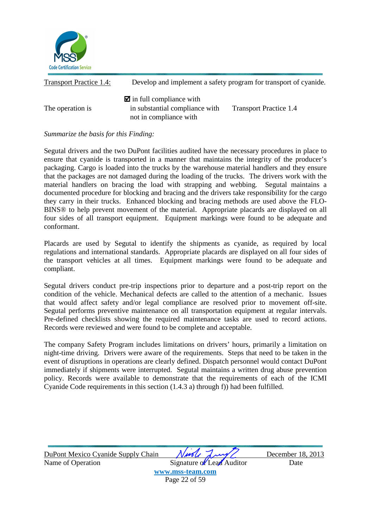![](_page_22_Picture_0.jpeg)

| <b>Transport Practice 1.4:</b> |                                                                                                    | Develop and implement a safety program for transport of cyanide. |
|--------------------------------|----------------------------------------------------------------------------------------------------|------------------------------------------------------------------|
| The operation is               | $\blacksquare$ in full compliance with<br>in substantial compliance with<br>not in compliance with | <b>Transport Practice 1.4</b>                                    |

Segutal drivers and the two DuPont facilities audited have the necessary procedures in place to ensure that cyanide is transported in a manner that maintains the integrity of the producer's packaging. Cargo is loaded into the trucks by the warehouse material handlers and they ensure that the packages are not damaged during the loading of the trucks. The drivers work with the material handlers on bracing the load with strapping and webbing. Segutal maintains a documented procedure for blocking and bracing and the drivers take responsibility for the cargo they carry in their trucks. Enhanced blocking and bracing methods are used above the FLO-BINS® to help prevent movement of the material. Appropriate placards are displayed on all four sides of all transport equipment. Equipment markings were found to be adequate and conformant.

Placards are used by Segutal to identify the shipments as cyanide, as required by local regulations and international standards. Appropriate placards are displayed on all four sides of the transport vehicles at all times. Equipment markings were found to be adequate and compliant.

Segutal drivers conduct pre-trip inspections prior to departure and a post-trip report on the condition of the vehicle. Mechanical defects are called to the attention of a mechanic. Issues that would affect safety and/or legal compliance are resolved prior to movement off-site. Segutal performs preventive maintenance on all transportation equipment at regular intervals. Pre-defined checklists showing the required maintenance tasks are used to record actions. Records were reviewed and were found to be complete and acceptable.

The company Safety Program includes limitations on drivers' hours, primarily a limitation on night-time driving. Drivers were aware of the requirements. Steps that need to be taken in the event of disruptions in operations are clearly defined. Dispatch personnel would contact DuPont immediately if shipments were interrupted. Segutal maintains a written drug abuse prevention policy. Records were available to demonstrate that the requirements of each of the ICMI Cyanide Code requirements in this section (1.4.3 a) through f)) had been fulfilled.

| DuPont Mexico Cyanide Supply Chain | Nurle Lung                | December 18, 2013 |
|------------------------------------|---------------------------|-------------------|
| Name of Operation                  | Signature of Lead Auditor | Date              |
|                                    | www.mss-team.com          |                   |
|                                    | Page 22 of 59             |                   |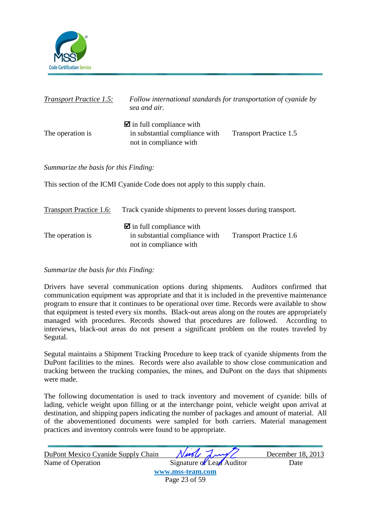![](_page_23_Picture_0.jpeg)

| <b>Transport Practice 1.5:</b>        | Follow international standards for transportation of cyanide by<br>sea and air.                    |                               |
|---------------------------------------|----------------------------------------------------------------------------------------------------|-------------------------------|
| The operation is                      | $\blacksquare$ in full compliance with<br>in substantial compliance with<br>not in compliance with | <b>Transport Practice 1.5</b> |
| Summarize the basis for this Finding: |                                                                                                    |                               |
|                                       | This section of the ICMI Cyanide Code does not apply to this supply chain.                         |                               |
| <b>Transport Practice 1.6:</b>        | Track cyanide shipments to prevent losses during transport.                                        |                               |
| The operation is                      | $\blacksquare$ in full compliance with<br>in substantial compliance with                           | <b>Transport Practice 1.6</b> |

not in compliance with

#### *Summarize the basis for this Finding:*

Drivers have several communication options during shipments. Auditors confirmed that communication equipment was appropriate and that it is included in the preventive maintenance program to ensure that it continues to be operational over time. Records were available to show that equipment is tested every six months. Black-out areas along on the routes are appropriately managed with procedures. Records showed that procedures are followed. According to interviews, black-out areas do not present a significant problem on the routes traveled by Segutal.

Segutal maintains a Shipment Tracking Procedure to keep track of cyanide shipments from the DuPont facilities to the mines. Records were also available to show close communication and tracking between the trucking companies, the mines, and DuPont on the days that shipments were made.

The following documentation is used to track inventory and movement of cyanide: bills of lading, vehicle weight upon filling or at the interchange point, vehicle weight upon arrival at destination, and shipping papers indicating the number of packages and amount of material. All of the abovementioned documents were sampled for both carriers. Material management practices and inventory controls were found to be appropriate.

| DuPont Mexico Cyanide Supply Chain | Niede Lung                | December 18, 2013 |
|------------------------------------|---------------------------|-------------------|
| Name of Operation                  | Signature of Lead Auditor | Date              |
|                                    | www.mss-team.com          |                   |
|                                    | Page 23 of 59             |                   |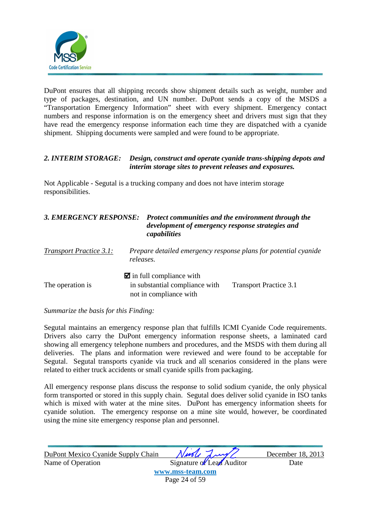![](_page_24_Picture_0.jpeg)

DuPont ensures that all shipping records show shipment details such as weight, number and type of packages, destination, and UN number. DuPont sends a copy of the MSDS a "Transportation Emergency Information" sheet with every shipment. Emergency contact numbers and response information is on the emergency sheet and drivers must sign that they have read the emergency response information each time they are dispatched with a cyanide shipment. Shipping documents were sampled and were found to be appropriate.

#### *2. INTERIM STORAGE: Design, construct and operate cyanide trans-shipping depots and interim storage sites to prevent releases and exposures.*

Not Applicable - Segutal is a trucking company and does not have interim storage responsibilities.

### *3. EMERGENCY RESPONSE: Protect communities and the environment through the development of emergency response strategies and capabilities*

| <b>Transport Practice 3.1:</b> | Prepare detailed emergency response plans for potential cyanide<br>releases. |                        |
|--------------------------------|------------------------------------------------------------------------------|------------------------|
| The operation is               | $\blacksquare$ in full compliance with<br>in substantial compliance with     | Transport Practice 3.1 |
|                                | not in compliance with                                                       |                        |

#### *Summarize the basis for this Finding:*

Segutal maintains an emergency response plan that fulfills ICMI Cyanide Code requirements. Drivers also carry the DuPont emergency information response sheets, a laminated card showing all emergency telephone numbers and procedures, and the MSDS with them during all deliveries. The plans and information were reviewed and were found to be acceptable for Segutal. Segutal transports cyanide via truck and all scenarios considered in the plans were related to either truck accidents or small cyanide spills from packaging.

All emergency response plans discuss the response to solid sodium cyanide, the only physical form transported or stored in this supply chain. Segutal does deliver solid cyanide in ISO tanks which is mixed with water at the mine sites. DuPont has emergency information sheets for cyanide solution. The emergency response on a mine site would, however, be coordinated using the mine site emergency response plan and personnel.

| DuPont Mexico Cyanide Supply Chain | Nivole Lung               | December 18, 2013 |
|------------------------------------|---------------------------|-------------------|
| Name of Operation                  | Signature of Lead Auditor | Date              |
|                                    | www.mss-team.com          |                   |
|                                    | Page 24 of 59             |                   |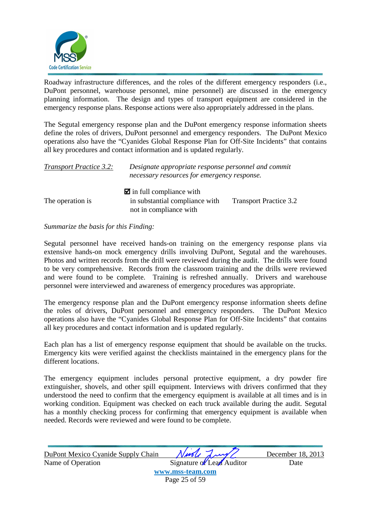![](_page_25_Picture_0.jpeg)

Roadway infrastructure differences, and the roles of the different emergency responders (i.e., DuPont personnel, warehouse personnel, mine personnel) are discussed in the emergency planning information. The design and types of transport equipment are considered in the emergency response plans. Response actions were also appropriately addressed in the plans.

The Segutal emergency response plan and the DuPont emergency response information sheets define the roles of drivers, DuPont personnel and emergency responders. The DuPont Mexico operations also have the "Cyanides Global Response Plan for Off-Site Incidents" that contains all key procedures and contact information and is updated regularly.

| <b>Transport Practice 3.2:</b> | Designate appropriate response personnel and commit<br>necessary resources for emergency response. |                               |
|--------------------------------|----------------------------------------------------------------------------------------------------|-------------------------------|
|                                | $\blacksquare$ in full compliance with                                                             |                               |
| The operation is               | in substantial compliance with<br>not in compliance with                                           | <b>Transport Practice 3.2</b> |

#### *Summarize the basis for this Finding:*

Segutal personnel have received hands-on training on the emergency response plans via extensive hands-on mock emergency drills involving DuPont, Segutal and the warehouses. Photos and written records from the drill were reviewed during the audit. The drills were found to be very comprehensive. Records from the classroom training and the drills were reviewed and were found to be complete. Training is refreshed annually. Drivers and warehouse personnel were interviewed and awareness of emergency procedures was appropriate.

The emergency response plan and the DuPont emergency response information sheets define the roles of drivers, DuPont personnel and emergency responders. The DuPont Mexico operations also have the "Cyanides Global Response Plan for Off-Site Incidents" that contains all key procedures and contact information and is updated regularly.

Each plan has a list of emergency response equipment that should be available on the trucks. Emergency kits were verified against the checklists maintained in the emergency plans for the different locations.

The emergency equipment includes personal protective equipment, a dry powder fire extinguisher, shovels, and other spill equipment. Interviews with drivers confirmed that they understood the need to confirm that the emergency equipment is available at all times and is in working condition. Equipment was checked on each truck available during the audit. Segutal has a monthly checking process for confirming that emergency equipment is available when needed. Records were reviewed and were found to be complete.

| DuPont Mexico Cyanide Supply Chain | Nivole Lung               | December 18, 2013 |
|------------------------------------|---------------------------|-------------------|
| Name of Operation                  | Signature of Lead Auditor | Date              |
|                                    | www mcc-team com          |                   |

**www.mss-team.com** Page 25 of 59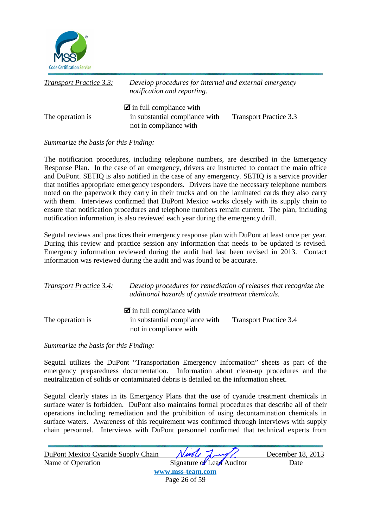![](_page_26_Picture_0.jpeg)

| <b>Transport Practice 3.3:</b> | Develop procedures for internal and external emergency<br>notification and reporting.              |                               |
|--------------------------------|----------------------------------------------------------------------------------------------------|-------------------------------|
| The operation is               | $\blacksquare$ in full compliance with<br>in substantial compliance with<br>not in compliance with | <b>Transport Practice 3.3</b> |

The notification procedures, including telephone numbers, are described in the Emergency Response Plan. In the case of an emergency, drivers are instructed to contact the main office and DuPont. SETIQ is also notified in the case of any emergency. SETIQ is a service provider that notifies appropriate emergency responders. Drivers have the necessary telephone numbers noted on the paperwork they carry in their trucks and on the laminated cards they also carry with them. Interviews confirmed that DuPont Mexico works closely with its supply chain to ensure that notification procedures and telephone numbers remain current. The plan, including notification information, is also reviewed each year during the emergency drill.

Segutal reviews and practices their emergency response plan with DuPont at least once per year. During this review and practice session any information that needs to be updated is revised. Emergency information reviewed during the audit had last been revised in 2013. Contact information was reviewed during the audit and was found to be accurate.

| <b>Transport Practice 3.4:</b> | Develop procedures for remediation of releases that recognize the<br>additional hazards of cyanide treatment chemicals. |                               |
|--------------------------------|-------------------------------------------------------------------------------------------------------------------------|-------------------------------|
| The operation is               | $\blacksquare$ in full compliance with<br>in substantial compliance with<br>not in compliance with                      | <b>Transport Practice 3.4</b> |

*Summarize the basis for this Finding:* 

Segutal utilizes the DuPont "Transportation Emergency Information" sheets as part of the emergency preparedness documentation. Information about clean-up procedures and the neutralization of solids or contaminated debris is detailed on the information sheet.

Segutal clearly states in its Emergency Plans that the use of cyanide treatment chemicals in surface water is forbidden. DuPont also maintains formal procedures that describe all of their operations including remediation and the prohibition of using decontamination chemicals in surface waters. Awareness of this requirement was confirmed through interviews with supply chain personnel. Interviews with DuPont personnel confirmed that technical experts from

| DuPont Mexico Cyanide Supply Chain | Needle Lung/              | December 18, 2013 |
|------------------------------------|---------------------------|-------------------|
| Name of Operation                  | Signature of Lead Auditor | Date              |
|                                    | www.mss-team.com          |                   |
|                                    | Page 26 of 59             |                   |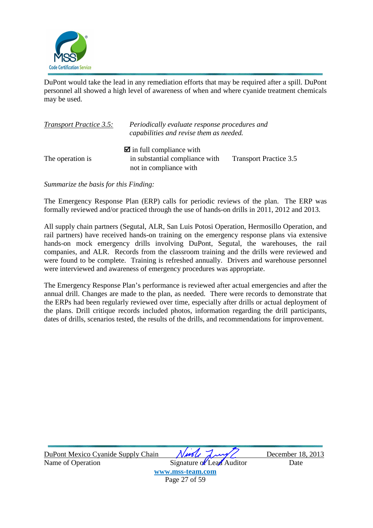![](_page_27_Picture_0.jpeg)

DuPont would take the lead in any remediation efforts that may be required after a spill. DuPont personnel all showed a high level of awareness of when and where cyanide treatment chemicals may be used.

| <b>Transport Practice 3.5:</b> | Periodically evaluate response procedures and<br>capabilities and revise them as needed.           |                               |
|--------------------------------|----------------------------------------------------------------------------------------------------|-------------------------------|
| The operation is               | $\blacksquare$ in full compliance with<br>in substantial compliance with<br>not in compliance with | <b>Transport Practice 3.5</b> |

*Summarize the basis for this Finding:* 

The Emergency Response Plan (ERP) calls for periodic reviews of the plan. The ERP was formally reviewed and/or practiced through the use of hands-on drills in 2011, 2012 and 2013.

All supply chain partners (Segutal, ALR, San Luis Potosi Operation, Hermosillo Operation, and rail partners) have received hands-on training on the emergency response plans via extensive hands-on mock emergency drills involving DuPont, Segutal, the warehouses, the rail companies, and ALR. Records from the classroom training and the drills were reviewed and were found to be complete. Training is refreshed annually. Drivers and warehouse personnel were interviewed and awareness of emergency procedures was appropriate.

The Emergency Response Plan's performance is reviewed after actual emergencies and after the annual drill. Changes are made to the plan, as needed. There were records to demonstrate that the ERPs had been regularly reviewed over time, especially after drills or actual deployment of the plans. Drill critique records included photos, information regarding the drill participants, dates of drills, scenarios tested, the results of the drills, and recommendations for improvement.

| DuPont Mexico Cyanide Supply Chain | Niede Lung                | December 18, 2013 |
|------------------------------------|---------------------------|-------------------|
| Name of Operation                  | Signature of Lead Auditor | Date              |
|                                    | www.mss-team.com          |                   |
|                                    | Page 27 of 59             |                   |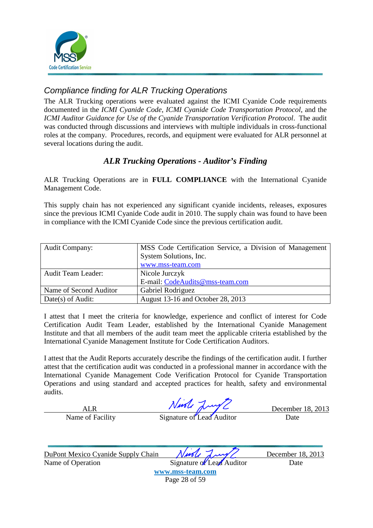![](_page_28_Picture_0.jpeg)

## Compliance finding for ALR Trucking Operations

The ALR Trucking operations were evaluated against the ICMI Cyanide Code requirements documented in the *ICMI Cyanide Code*, *ICMI Cyanide Code Transportation Protocol*, and the *ICMI Auditor Guidance for Use of the Cyanide Transportation Verification Protocol*. The audit was conducted through discussions and interviews with multiple individuals in cross-functional roles at the company. Procedures, records, and equipment were evaluated for ALR personnel at several locations during the audit.

### *ALR Trucking Operations - Auditor's Finding*

ALR Trucking Operations are in **FULL COMPLIANCE** with the International Cyanide Management Code.

This supply chain has not experienced any significant cyanide incidents, releases, exposures since the previous ICMI Cyanide Code audit in 2010. The supply chain was found to have been in compliance with the ICMI Cyanide Code since the previous certification audit.

| <b>Audit Company:</b>     | MSS Code Certification Service, a Division of Management |
|---------------------------|----------------------------------------------------------|
|                           | System Solutions, Inc.                                   |
|                           | www.mss-team.com                                         |
| <b>Audit Team Leader:</b> | Nicole Jurczyk                                           |
|                           | E-mail: CodeAudits@mss-team.com                          |
| Name of Second Auditor    | Gabriel Rodriguez                                        |
| Date(s) of Audit:         | August 13-16 and October 28, 2013                        |

I attest that I meet the criteria for knowledge, experience and conflict of interest for Code Certification Audit Team Leader, established by the International Cyanide Management Institute and that all members of the audit team meet the applicable criteria established by the International Cyanide Management Institute for Code Certification Auditors.

I attest that the Audit Reports accurately describe the findings of the certification audit. I further attest that the certification audit was conducted in a professional manner in accordance with the International Cyanide Management Code Verification Protocol for Cyanide Transportation Operations and using standard and accepted practices for health, safety and environmental audits.

ALR NWOU MUY C December 18, 2013

Name of Facility Signature of Lead Auditor Date

DuPont Mexico Cyanide Supply Chain *Nurle Lawy* December 18, 2013

Name of Operation Signature of Lead Auditor Date **www.mss-team.com** Page 28 of 59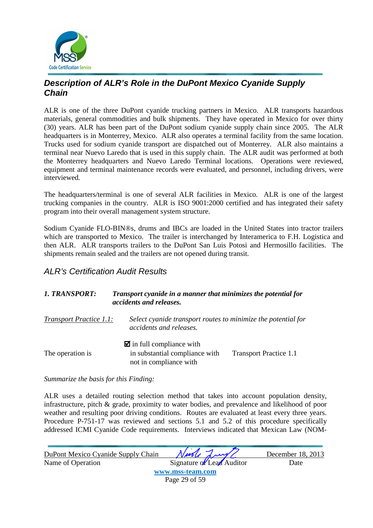![](_page_29_Picture_0.jpeg)

### **Description of ALR's Role in the DuPont Mexico Cyanide Supply Chain**

ALR is one of the three DuPont cyanide trucking partners in Mexico. ALR transports hazardous materials, general commodities and bulk shipments. They have operated in Mexico for over thirty (30) years. ALR has been part of the DuPont sodium cyanide supply chain since 2005. The ALR headquarters is in Monterrey, Mexico. ALR also operates a terminal facility from the same location. Trucks used for sodium cyanide transport are dispatched out of Monterrey. ALR also maintains a terminal near Nuevo Laredo that is used in this supply chain. The ALR audit was performed at both the Monterrey headquarters and Nuevo Laredo Terminal locations. Operations were reviewed, equipment and terminal maintenance records were evaluated, and personnel, including drivers, were interviewed.

The headquarters/terminal is one of several ALR facilities in Mexico. ALR is one of the largest trucking companies in the country. ALR is ISO 9001:2000 certified and has integrated their safety program into their overall management system structure.

Sodium Cyanide FLO-BIN®s, drums and IBCs are loaded in the United States into tractor trailers which are transported to Mexico. The trailer is interchanged by Interamerica to F.H. Logistica and then ALR. ALR transports trailers to the DuPont San Luis Potosi and Hermosillo facilities. The shipments remain sealed and the trailers are not opened during transit.

### ALR's Certification Audit Results

#### *1. TRANSPORT: Transport cyanide in a manner that minimizes the potential for accidents and releases.*

*Transport Practice 1.1: Select cyanide transport routes to minimize the potential for accidents and releases.*   $\blacksquare$  in full compliance with The operation is in substantial compliance with Transport Practice 1.1 not in compliance with

*Summarize the basis for this Finding:* 

ALR uses a detailed routing selection method that takes into account population density, infrastructure, pitch & grade, proximity to water bodies, and prevalence and likelihood of poor weather and resulting poor driving conditions. Routes are evaluated at least every three years. Procedure P-751-17 was reviewed and sections 5.1 and 5.2 of this procedure specifically addressed ICMI Cyanide Code requirements. Interviews indicated that Mexican Law (NOM-

| DuPont Mexico Cyanide Supply Chain | Ningle Lung/              | December 18, 2013 |
|------------------------------------|---------------------------|-------------------|
| Name of Operation                  | Signature of Lead Auditor | Date              |
|                                    | www.mss-team.com          |                   |
|                                    | Page 29 of 59             |                   |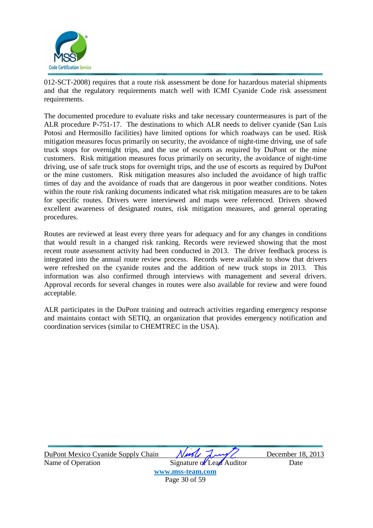![](_page_30_Picture_0.jpeg)

012-SCT-2008) requires that a route risk assessment be done for hazardous material shipments and that the regulatory requirements match well with ICMI Cyanide Code risk assessment requirements.

The documented procedure to evaluate risks and take necessary countermeasures is part of the ALR procedure P-751-17. The destinations to which ALR needs to deliver cyanide (San Luis Potosi and Hermosillo facilities) have limited options for which roadways can be used. Risk mitigation measures focus primarily on security, the avoidance of night-time driving, use of safe truck stops for overnight trips, and the use of escorts as required by DuPont or the mine customers. Risk mitigation measures focus primarily on security, the avoidance of night-time driving, use of safe truck stops for overnight trips, and the use of escorts as required by DuPont or the mine customers. Risk mitigation measures also included the avoidance of high traffic times of day and the avoidance of roads that are dangerous in poor weather conditions. Notes within the route risk ranking documents indicated what risk mitigation measures are to be taken for specific routes. Drivers were interviewed and maps were referenced. Drivers showed excellent awareness of designated routes, risk mitigation measures, and general operating procedures.

Routes are reviewed at least every three years for adequacy and for any changes in conditions that would result in a changed risk ranking. Records were reviewed showing that the most recent route assessment activity had been conducted in 2013. The driver feedback process is integrated into the annual route review process. Records were available to show that drivers were refreshed on the cyanide routes and the addition of new truck stops in 2013. This information was also confirmed through interviews with management and several drivers. Approval records for several changes in routes were also available for review and were found acceptable.

ALR participates in the DuPont training and outreach activities regarding emergency response and maintains contact with SETIQ, an organization that provides emergency notification and coordination services (similar to CHEMTREC in the USA).

| DuPont Mexico Cyanide Supply Chain | Nuol      |
|------------------------------------|-----------|
| Name of Operation                  | Signature |

December 18, 2013 Lead Auditor Date

**www.mss-team.com** Page 30 of 59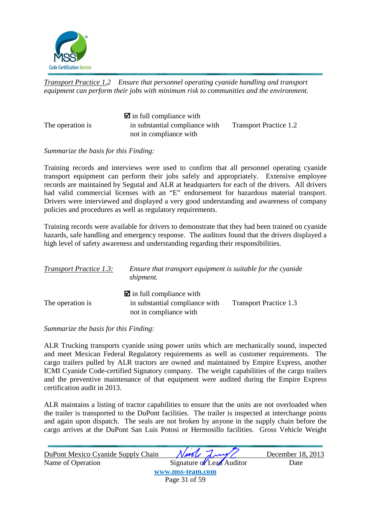![](_page_31_Picture_0.jpeg)

*Transport Practice 1.2 Ensure that personnel operating cyanide handling and transport equipment can perform their jobs with minimum risk to communities and the environment.* 

 $\blacksquare$  in full compliance with The operation is in substantial compliance with Transport Practice 1.2 not in compliance with

*Summarize the basis for this Finding:* 

Training records and interviews were used to confirm that all personnel operating cyanide transport equipment can perform their jobs safely and appropriately. Extensive employee records are maintained by Segutal and ALR at headquarters for each of the drivers. All drivers had valid commercial licenses with an "E" endorsement for hazardous material transport. Drivers were interviewed and displayed a very good understanding and awareness of company policies and procedures as well as regulatory requirements.

Training records were available for drivers to demonstrate that they had been trained on cyanide hazards, safe handling and emergency response. The auditors found that the drivers displayed a high level of safety awareness and understanding regarding their responsibilities.

| <b>Transport Practice 1.3:</b> | Ensure that transport equipment is suitable for the cyanide<br>shipment.                           |                        |
|--------------------------------|----------------------------------------------------------------------------------------------------|------------------------|
| The operation is               | $\blacksquare$ in full compliance with<br>in substantial compliance with<br>not in compliance with | Transport Practice 1.3 |

*Summarize the basis for this Finding:* 

ALR Trucking transports cyanide using power units which are mechanically sound, inspected and meet Mexican Federal Regulatory requirements as well as customer requirements. The cargo trailers pulled by ALR tractors are owned and maintained by Empire Express, another ICMI Cyanide Code-certified Signatory company. The weight capabilities of the cargo trailers and the preventive maintenance of that equipment were audited during the Empire Express certification audit in 2013.

ALR maintains a listing of tractor capabilities to ensure that the units are not overloaded when the trailer is transported to the DuPont facilities. The trailer is inspected at interchange points and again upon dispatch. The seals are not broken by anyone in the supply chain before the cargo arrives at the DuPont San Luis Potosi or Hermosillo facilities. Gross Vehicle Weight

| DuPont Mexico Cyanide Supply Chain | Neede Lung                | December 18, 2013 |
|------------------------------------|---------------------------|-------------------|
| Name of Operation                  | Signature of Lead Auditor | Date              |
|                                    | www.mss-team.com          |                   |
|                                    | Page 31 of 59             |                   |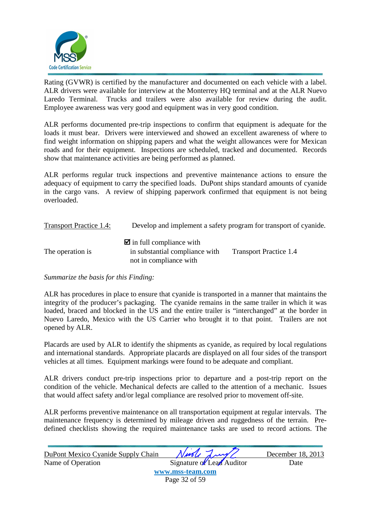![](_page_32_Picture_0.jpeg)

Rating (GVWR) is certified by the manufacturer and documented on each vehicle with a label. ALR drivers were available for interview at the Monterrey HQ terminal and at the ALR Nuevo Laredo Terminal. Trucks and trailers were also available for review during the audit. Employee awareness was very good and equipment was in very good condition.

ALR performs documented pre-trip inspections to confirm that equipment is adequate for the loads it must bear. Drivers were interviewed and showed an excellent awareness of where to find weight information on shipping papers and what the weight allowances were for Mexican roads and for their equipment. Inspections are scheduled, tracked and documented. Records show that maintenance activities are being performed as planned.

ALR performs regular truck inspections and preventive maintenance actions to ensure the adequacy of equipment to carry the specified loads. DuPont ships standard amounts of cyanide in the cargo vans. A review of shipping paperwork confirmed that equipment is not being overloaded.

| <b>Transport Practice 1.4:</b> |                                                                                                    | Develop and implement a safety program for transport of cyanide. |
|--------------------------------|----------------------------------------------------------------------------------------------------|------------------------------------------------------------------|
| The operation is               | $\blacksquare$ in full compliance with<br>in substantial compliance with<br>not in compliance with | <b>Transport Practice 1.4</b>                                    |

*Summarize the basis for this Finding:* 

ALR has procedures in place to ensure that cyanide is transported in a manner that maintains the integrity of the producer's packaging. The cyanide remains in the same trailer in which it was loaded, braced and blocked in the US and the entire trailer is "interchanged" at the border in Nuevo Laredo, Mexico with the US Carrier who brought it to that point. Trailers are not opened by ALR.

Placards are used by ALR to identify the shipments as cyanide, as required by local regulations and international standards. Appropriate placards are displayed on all four sides of the transport vehicles at all times. Equipment markings were found to be adequate and compliant.

ALR drivers conduct pre-trip inspections prior to departure and a post-trip report on the condition of the vehicle. Mechanical defects are called to the attention of a mechanic. Issues that would affect safety and/or legal compliance are resolved prior to movement off-site.

ALR performs preventive maintenance on all transportation equipment at regular intervals. The maintenance frequency is determined by mileage driven and ruggedness of the terrain. Predefined checklists showing the required maintenance tasks are used to record actions. The

| DuPont Mexico Cyanide Supply Chain | Ningle Lung               | December 18, 2013 |
|------------------------------------|---------------------------|-------------------|
| Name of Operation                  | Signature of Lead Auditor | Date              |
|                                    | www.mss-team.com          |                   |
|                                    | Page 32 of 59             |                   |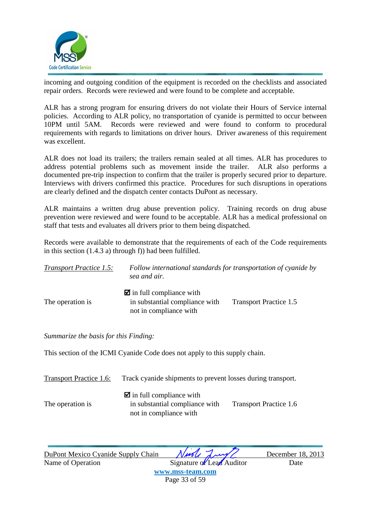![](_page_33_Picture_0.jpeg)

incoming and outgoing condition of the equipment is recorded on the checklists and associated repair orders. Records were reviewed and were found to be complete and acceptable.

ALR has a strong program for ensuring drivers do not violate their Hours of Service internal policies. According to ALR policy, no transportation of cyanide is permitted to occur between 10PM until 5AM. Records were reviewed and were found to conform to procedural requirements with regards to limitations on driver hours. Driver awareness of this requirement was excellent.

ALR does not load its trailers; the trailers remain sealed at all times. ALR has procedures to address potential problems such as movement inside the trailer. ALR also performs a documented pre-trip inspection to confirm that the trailer is properly secured prior to departure. Interviews with drivers confirmed this practice. Procedures for such disruptions in operations are clearly defined and the dispatch center contacts DuPont as necessary.

ALR maintains a written drug abuse prevention policy. Training records on drug abuse prevention were reviewed and were found to be acceptable. ALR has a medical professional on staff that tests and evaluates all drivers prior to them being dispatched.

Records were available to demonstrate that the requirements of each of the Code requirements in this section (1.4.3 a) through f)) had been fulfilled.

| <b>Transport Practice 1.5:</b> | Follow international standards for transportation of cyanide by<br>sea and air.                    |                               |
|--------------------------------|----------------------------------------------------------------------------------------------------|-------------------------------|
| The operation is               | $\blacksquare$ in full compliance with<br>in substantial compliance with<br>not in compliance with | <b>Transport Practice 1.5</b> |

*Summarize the basis for this Finding:* 

This section of the ICMI Cyanide Code does not apply to this supply chain.

| Transport Practice 1.6: | Track cyanide shipments to prevent losses during transport.                                        |                               |
|-------------------------|----------------------------------------------------------------------------------------------------|-------------------------------|
| The operation is        | $\blacksquare$ in full compliance with<br>in substantial compliance with<br>not in compliance with | <b>Transport Practice 1.6</b> |

DuPont Mexico Cyanide Supply Chain *Nurle Lawy* December 18, 2013

Name of Operation Signature of Lead Auditor Date **www.mss-team.com**

Page 33 of 59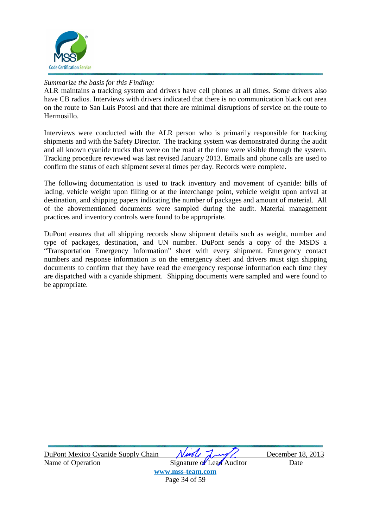![](_page_34_Picture_0.jpeg)

ALR maintains a tracking system and drivers have cell phones at all times. Some drivers also have CB radios. Interviews with drivers indicated that there is no communication black out area on the route to San Luis Potosi and that there are minimal disruptions of service on the route to Hermosillo.

Interviews were conducted with the ALR person who is primarily responsible for tracking shipments and with the Safety Director. The tracking system was demonstrated during the audit and all known cyanide trucks that were on the road at the time were visible through the system. Tracking procedure reviewed was last revised January 2013. Emails and phone calls are used to confirm the status of each shipment several times per day. Records were complete.

The following documentation is used to track inventory and movement of cyanide: bills of lading, vehicle weight upon filling or at the interchange point, vehicle weight upon arrival at destination, and shipping papers indicating the number of packages and amount of material. All of the abovementioned documents were sampled during the audit. Material management practices and inventory controls were found to be appropriate.

DuPont ensures that all shipping records show shipment details such as weight, number and type of packages, destination, and UN number. DuPont sends a copy of the MSDS a "Transportation Emergency Information" sheet with every shipment. Emergency contact numbers and response information is on the emergency sheet and drivers must sign shipping documents to confirm that they have read the emergency response information each time they are dispatched with a cyanide shipment. Shipping documents were sampled and were found to be appropriate.

| DuPont Mexico Cyanide Supply Chain | Newle Lung/               | December 18, 2013 |  |
|------------------------------------|---------------------------|-------------------|--|
| Name of Operation                  | Signature of Lead Auditor | Date              |  |
| www.mss-team.com                   |                           |                   |  |

Page 34 of 59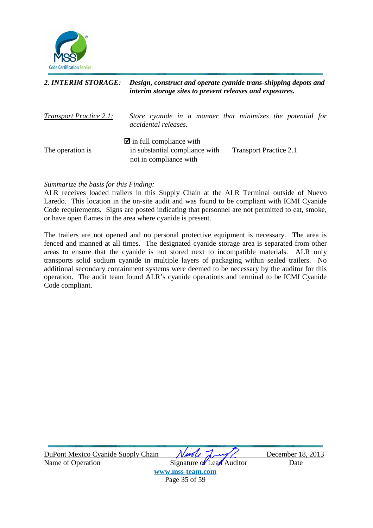![](_page_35_Picture_0.jpeg)

#### *2. INTERIM STORAGE: Design, construct and operate cyanide trans-shipping depots and interim storage sites to prevent releases and exposures.*

| <b>Transport Practice 2.1:</b> | accidental releases.                                                     | Store cyanide in a manner that minimizes the potential for |  |
|--------------------------------|--------------------------------------------------------------------------|------------------------------------------------------------|--|
| The operation is               | $\blacksquare$ in full compliance with<br>in substantial compliance with | <b>Transport Practice 2.1</b>                              |  |
|                                | not in compliance with                                                   |                                                            |  |

#### *Summarize the basis for this Finding:*

ALR receives loaded trailers in this Supply Chain at the ALR Terminal outside of Nuevo Laredo. This location in the on-site audit and was found to be compliant with ICMI Cyanide Code requirements. Signs are posted indicating that personnel are not permitted to eat, smoke, or have open flames in the area where cyanide is present.

The trailers are not opened and no personal protective equipment is necessary. The area is fenced and manned at all times. The designated cyanide storage area is separated from other areas to ensure that the cyanide is not stored next to incompatible materials. ALR only transports solid sodium cyanide in multiple layers of packaging within sealed trailers. No additional secondary containment systems were deemed to be necessary by the auditor for this operation. The audit team found ALR's cyanide operations and terminal to be ICMI Cyanide Code compliant.

| DuPont Mexico Cyanide Supply Chain | Needle Lung               | December 18, 2013 |
|------------------------------------|---------------------------|-------------------|
| Name of Operation                  | Signature of Lead Auditor | Date              |
|                                    | www.mss-team.com          |                   |
|                                    | Page 35 of 59             |                   |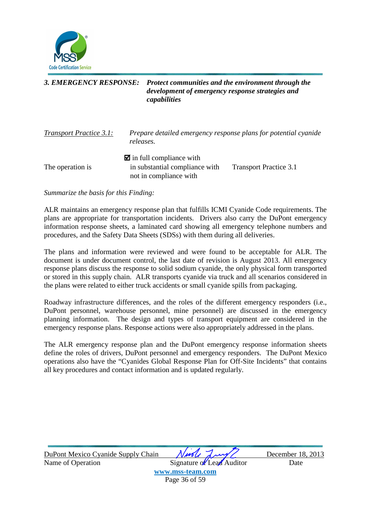![](_page_36_Picture_0.jpeg)

#### *3. EMERGENCY RESPONSE: Protect communities and the environment through the development of emergency response strategies and capabilities*

| <b>Transport Practice 3.1:</b> | Prepare detailed emergency response plans for potential cyanide<br>releases.                       |                               |
|--------------------------------|----------------------------------------------------------------------------------------------------|-------------------------------|
| The operation is               | $\blacksquare$ in full compliance with<br>in substantial compliance with<br>not in compliance with | <b>Transport Practice 3.1</b> |

*Summarize the basis for this Finding:* 

ALR maintains an emergency response plan that fulfills ICMI Cyanide Code requirements. The plans are appropriate for transportation incidents. Drivers also carry the DuPont emergency information response sheets, a laminated card showing all emergency telephone numbers and procedures, and the Safety Data Sheets (SDSs) with them during all deliveries.

The plans and information were reviewed and were found to be acceptable for ALR. The document is under document control, the last date of revision is August 2013. All emergency response plans discuss the response to solid sodium cyanide, the only physical form transported or stored in this supply chain. ALR transports cyanide via truck and all scenarios considered in the plans were related to either truck accidents or small cyanide spills from packaging.

Roadway infrastructure differences, and the roles of the different emergency responders (i.e., DuPont personnel, warehouse personnel, mine personnel) are discussed in the emergency planning information. The design and types of transport equipment are considered in the emergency response plans. Response actions were also appropriately addressed in the plans.

The ALR emergency response plan and the DuPont emergency response information sheets define the roles of drivers, DuPont personnel and emergency responders. The DuPont Mexico operations also have the "Cyanides Global Response Plan for Off-Site Incidents" that contains all key procedures and contact information and is updated regularly.

| DuPont Mexico Cyanide Supply Chain | Nuole Lung                | December 18, 2013 |
|------------------------------------|---------------------------|-------------------|
| Name of Operation                  | Signature of Lead Auditor | Date              |
|                                    | www.mss-team.com          |                   |
|                                    | Page 36 of 59             |                   |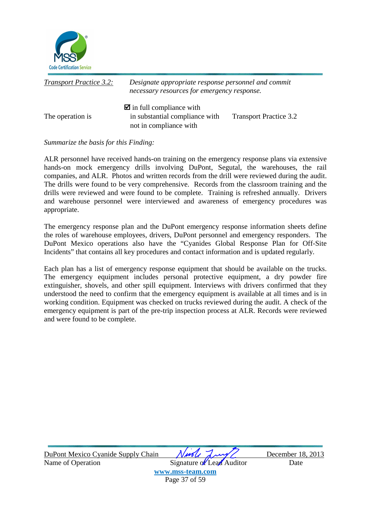![](_page_37_Picture_0.jpeg)

| <b>Transport Practice 3.2:</b> | Designate appropriate response personnel and commit<br>necessary resources for emergency response. |                               |
|--------------------------------|----------------------------------------------------------------------------------------------------|-------------------------------|
| The operation is               | $\blacksquare$ in full compliance with<br>in substantial compliance with<br>not in compliance with | <b>Transport Practice 3.2</b> |

ALR personnel have received hands-on training on the emergency response plans via extensive hands-on mock emergency drills involving DuPont, Segutal, the warehouses, the rail companies, and ALR. Photos and written records from the drill were reviewed during the audit. The drills were found to be very comprehensive. Records from the classroom training and the drills were reviewed and were found to be complete. Training is refreshed annually. Drivers and warehouse personnel were interviewed and awareness of emergency procedures was appropriate.

The emergency response plan and the DuPont emergency response information sheets define the roles of warehouse employees, drivers, DuPont personnel and emergency responders. The DuPont Mexico operations also have the "Cyanides Global Response Plan for Off-Site Incidents" that contains all key procedures and contact information and is updated regularly.

Each plan has a list of emergency response equipment that should be available on the trucks. The emergency equipment includes personal protective equipment, a dry powder fire extinguisher, shovels, and other spill equipment. Interviews with drivers confirmed that they understood the need to confirm that the emergency equipment is available at all times and is in working condition. Equipment was checked on trucks reviewed during the audit. A check of the emergency equipment is part of the pre-trip inspection process at ALR. Records were reviewed and were found to be complete.

| DuPont Mexico Cyanide Supply Chain | Nuole Luy                 | December 18, 2013 |
|------------------------------------|---------------------------|-------------------|
| Name of Operation                  | Signature of Lead Auditor | Date              |
|                                    | www.mss-team.com          |                   |
|                                    | Page 37 of 59             |                   |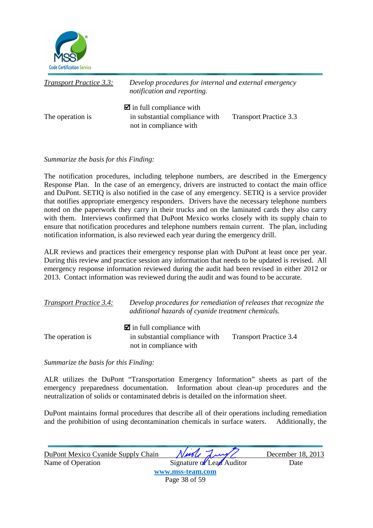![](_page_38_Picture_0.jpeg)

| <b>Transport Practice 3.3:</b> | Develop procedures for internal and external emergency<br>notification and reporting.              |                               |
|--------------------------------|----------------------------------------------------------------------------------------------------|-------------------------------|
| The operation is               | $\blacksquare$ in full compliance with<br>in substantial compliance with<br>not in compliance with | <b>Transport Practice 3.3</b> |

The notification procedures, including telephone numbers, are described in the Emergency Response Plan. In the case of an emergency, drivers are instructed to contact the main office and DuPont. SETIQ is also notified in the case of any emergency. SETIQ is a service provider that notifies appropriate emergency responders. Drivers have the necessary telephone numbers noted on the paperwork they carry in their trucks and on the laminated cards they also carry with them. Interviews confirmed that DuPont Mexico works closely with its supply chain to ensure that notification procedures and telephone numbers remain current. The plan, including notification information, is also reviewed each year during the emergency drill.

ALR reviews and practices their emergency response plan with DuPont at least once per year. During this review and practice session any information that needs to be updated is revised. All emergency response information reviewed during the audit had been revised in either 2012 or 2013. Contact information was reviewed during the audit and was found to be accurate.

| <b>Transport Practice 3.4:</b> | Develop procedures for remediation of releases that recognize the<br>additional hazards of cyanide treatment chemicals. |                               |
|--------------------------------|-------------------------------------------------------------------------------------------------------------------------|-------------------------------|
|                                | $\blacksquare$ in full compliance with                                                                                  |                               |
| The operation is               | in substantial compliance with<br>not in compliance with                                                                | <b>Transport Practice 3.4</b> |

*Summarize the basis for this Finding:* 

ALR utilizes the DuPont "Transportation Emergency Information" sheets as part of the emergency preparedness documentation. Information about clean-up procedures and the neutralization of solids or contaminated debris is detailed on the information sheet.

DuPont maintains formal procedures that describe all of their operations including remediation and the prohibition of using decontamination chemicals in surface waters. Additionally, the

| DuPont Mexico Cyanide Supply Chain | Nuole Lung                | December 18, 2013 |
|------------------------------------|---------------------------|-------------------|
| Name of Operation                  | Signature of Lead Auditor | Date              |
|                                    | www.mss-team.com          |                   |
|                                    | Page 38 of 59             |                   |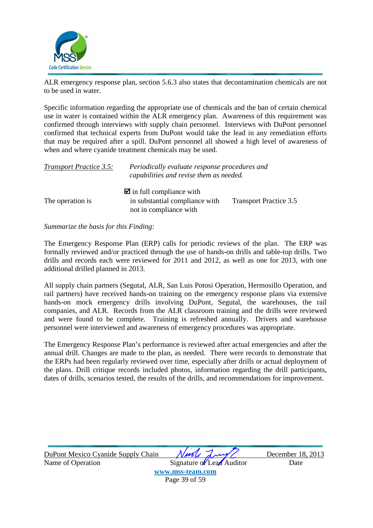![](_page_39_Picture_0.jpeg)

ALR emergency response plan, section 5.6.3 also states that decontamination chemicals are not to be used in water.

Specific information regarding the appropriate use of chemicals and the ban of certain chemical use in water is contained within the ALR emergency plan. Awareness of this requirement was confirmed through interviews with supply chain personnel. Interviews with DuPont personnel confirmed that technical experts from DuPont would take the lead in any remediation efforts that may be required after a spill. DuPont personnel all showed a high level of awareness of when and where cyanide treatment chemicals may be used.

| <b>Transport Practice 3.5:</b> | Periodically evaluate response procedures and<br>capabilities and revise them as needed. |                               |
|--------------------------------|------------------------------------------------------------------------------------------|-------------------------------|
| The operation is               | $\blacksquare$ in full compliance with<br>in substantial compliance with                 | <b>Transport Practice 3.5</b> |
|                                | not in compliance with                                                                   |                               |

#### *Summarize the basis for this Finding:*

The Emergency Response Plan (ERP) calls for periodic reviews of the plan. The ERP was formally reviewed and/or practiced through the use of hands-on drills and table-top drills. Two drills and records each were reviewed for 2011 and 2012, as well as one for 2013, with one additional drilled planned in 2013.

All supply chain partners (Segutal, ALR, San Luis Potosi Operation, Hermosillo Operation, and rail partners) have received hands-on training on the emergency response plans via extensive hands-on mock emergency drills involving DuPont, Segutal, the warehouses, the rail companies, and ALR. Records from the ALR classroom training and the drills were reviewed and were found to be complete. Training is refreshed annually. Drivers and warehouse personnel were interviewed and awareness of emergency procedures was appropriate.

The Emergency Response Plan's performance is reviewed after actual emergencies and after the annual drill. Changes are made to the plan, as needed. There were records to demonstrate that the ERPs had been regularly reviewed over time, especially after drills or actual deployment of the plans. Drill critique records included photos, information regarding the drill participants, dates of drills, scenarios tested, the results of the drills, and recommendations for improvement.

| DuPont Mexico Cyanide Supply Chain | Ningle Lung/              | December 18, 2013 |
|------------------------------------|---------------------------|-------------------|
| Name of Operation                  | Signature of Lead Auditor | Date              |
|                                    | www.mss-team.com          |                   |
|                                    | Page 39 of 59             |                   |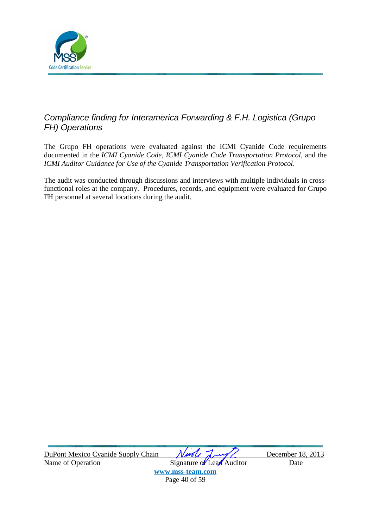![](_page_40_Picture_0.jpeg)

## Compliance finding for Interamerica Forwarding & F.H. Logistica (Grupo FH) Operations

The Grupo FH operations were evaluated against the ICMI Cyanide Code requirements documented in the *ICMI Cyanide Code*, *ICMI Cyanide Code Transportation Protocol*, and the *ICMI Auditor Guidance for Use of the Cyanide Transportation Verification Protocol*.

The audit was conducted through discussions and interviews with multiple individuals in crossfunctional roles at the company. Procedures, records, and equipment were evaluated for Grupo FH personnel at several locations during the audit.

| DuPont Mexico Cyanide Supply Chain | Ningle Lung/              | December 18, 2013 |
|------------------------------------|---------------------------|-------------------|
| Name of Operation                  | Signature of Lead Auditor | Date              |
|                                    | www.mss-team.com          |                   |
|                                    | Page 40 of 59             |                   |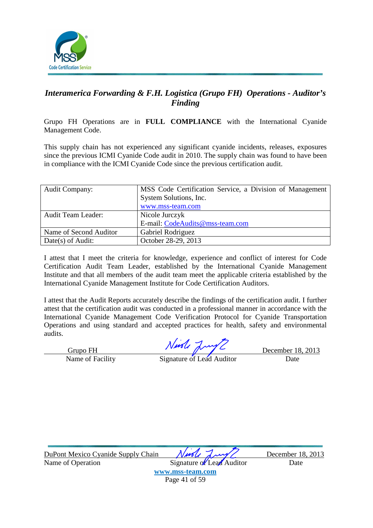![](_page_41_Picture_0.jpeg)

### *Interamerica Forwarding & F.H. Logistica (Grupo FH) Operations - Auditor's Finding*

Grupo FH Operations are in **FULL COMPLIANCE** with the International Cyanide Management Code.

This supply chain has not experienced any significant cyanide incidents, releases, exposures since the previous ICMI Cyanide Code audit in 2010. The supply chain was found to have been in compliance with the ICMI Cyanide Code since the previous certification audit.

| <b>Audit Company:</b>     | MSS Code Certification Service, a Division of Management |
|---------------------------|----------------------------------------------------------|
|                           | System Solutions, Inc.                                   |
|                           | www.mss-team.com                                         |
| <b>Audit Team Leader:</b> | Nicole Jurczyk                                           |
|                           | E-mail: CodeAudits@mss-team.com                          |
| Name of Second Auditor    | Gabriel Rodriguez                                        |
| Date(s) of Audit:         | October 28-29, 2013                                      |

I attest that I meet the criteria for knowledge, experience and conflict of interest for Code Certification Audit Team Leader, established by the International Cyanide Management Institute and that all members of the audit team meet the applicable criteria established by the International Cyanide Management Institute for Code Certification Auditors.

I attest that the Audit Reports accurately describe the findings of the certification audit. I further attest that the certification audit was conducted in a professional manner in accordance with the International Cyanide Management Code Verification Protocol for Cyanide Transportation Operations and using standard and accepted practices for health, safety and environmental audits.

Grupo FH December 18, 2013

Name of Facility Signature of Lead Auditor Date

DuPont Mexico Cyanide Supply Chain *Nurle Lawy* December 18, 2013 Name of Operation Signature of Lead Auditor Date **www.mss-team.com** Page 41 of 59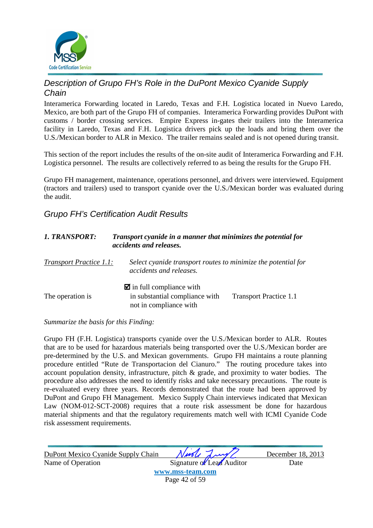![](_page_42_Picture_0.jpeg)

### Description of Grupo FH's Role in the DuPont Mexico Cyanide Supply **Chain**

Interamerica Forwarding located in Laredo, Texas and F.H. Logistica located in Nuevo Laredo, Mexico, are both part of the Grupo FH of companies. Interamerica Forwarding provides DuPont with customs / border crossing services. Empire Express in-gates their trailers into the Interamerica facility in Laredo, Texas and F.H. Logistica drivers pick up the loads and bring them over the U.S./Mexican border to ALR in Mexico. The trailer remains sealed and is not opened during transit.

This section of the report includes the results of the on-site audit of Interamerica Forwarding and F.H. Logistica personnel. The results are collectively referred to as being the results for the Grupo FH.

Grupo FH management, maintenance, operations personnel, and drivers were interviewed. Equipment (tractors and trailers) used to transport cyanide over the U.S./Mexican border was evaluated during the audit.

### Grupo FH's Certification Audit Results

| 1. TRANSPORT:                  | Transport cyanide in a manner that minimizes the potential for<br>accidents and releases.          |                               |
|--------------------------------|----------------------------------------------------------------------------------------------------|-------------------------------|
| <b>Transport Practice 1.1:</b> | Select cyanide transport routes to minimize the potential for<br>accidents and releases.           |                               |
| The operation is               | $\blacksquare$ in full compliance with<br>in substantial compliance with<br>not in compliance with | <b>Transport Practice 1.1</b> |

#### *Summarize the basis for this Finding:*

Grupo FH (F.H. Logistica) transports cyanide over the U.S./Mexican border to ALR. Routes that are to be used for hazardous materials being transported over the U.S./Mexican border are pre-determined by the U.S. and Mexican governments. Grupo FH maintains a route planning procedure entitled "Rute de Transportacion del Cianuro." The routing procedure takes into account population density, infrastructure, pitch & grade, and proximity to water bodies. The procedure also addresses the need to identify risks and take necessary precautions. The route is re-evaluated every three years. Records demonstrated that the route had been approved by DuPont and Grupo FH Management. Mexico Supply Chain interviews indicated that Mexican Law (NOM-012-SCT-2008) requires that a route risk assessment be done for hazardous material shipments and that the regulatory requirements match well with ICMI Cyanide Code risk assessment requirements.

| DuPont Mexico Cyanide Supply Chain | Ningle Lung/              | December 18, 2013 |
|------------------------------------|---------------------------|-------------------|
| Name of Operation                  | Signature of Lead Auditor | Date              |
|                                    | www.mss-team.com          |                   |
|                                    | Page 42 of 59             |                   |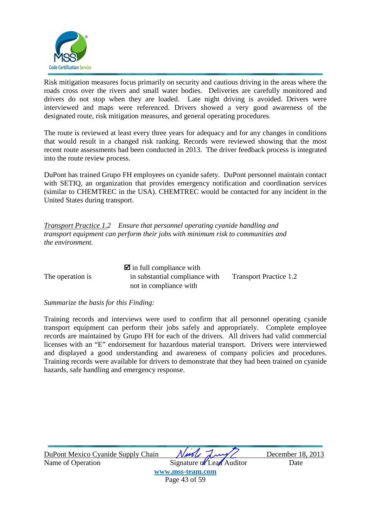![](_page_43_Picture_0.jpeg)

Risk mitigation measures focus primarily on security and cautious driving in the areas where the roads cross over the rivers and small water bodies. Deliveries are carefully monitored and drivers do not stop when they are loaded. Late night driving is avoided. Drivers were interviewed and maps were referenced. Drivers showed a very good awareness of the designated route, risk mitigation measures, and general operating procedures.

The route is reviewed at least every three years for adequacy and for any changes in conditions that would result in a changed risk ranking. Records were reviewed showing that the most recent route assessments had been conducted in 2013. The driver feedback process is integrated into the route review process.

DuPont has trained Grupo FH employees on cyanide safety. DuPont personnel maintain contact with SETIQ, an organization that provides emergency notification and coordination services (similar to CHEMTREC in the USA). CHEMTREC would be contacted for any incident in the United States during transport.

*Transport Practice 1.2 Ensure that personnel operating cyanide handling and transport equipment can perform their jobs with minimum risk to communities and the environment.* 

 $\blacksquare$  in full compliance with The operation is in substantial compliance with Transport Practice 1.2 not in compliance with

*Summarize the basis for this Finding:* 

Training records and interviews were used to confirm that all personnel operating cyanide transport equipment can perform their jobs safely and appropriately. Complete employee records are maintained by Grupo FH for each of the drivers. All drivers had valid commercial licenses with an "E" endorsement for hazardous material transport. Drivers were interviewed and displayed a good understanding and awareness of company policies and procedures. Training records were available for drivers to demonstrate that they had been trained on cyanide hazards, safe handling and emergency response.

| DuPont Mexico Cyanide Supply Chain | Ningle Lung/              | December 18, 2013 |
|------------------------------------|---------------------------|-------------------|
| Name of Operation                  | Signature of Lead Auditor | Date              |
|                                    | www.mss-team.com          |                   |
|                                    | Page 43 of 59             |                   |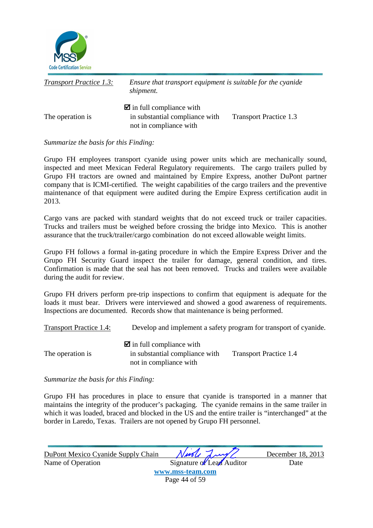![](_page_44_Picture_0.jpeg)

| <b>Transport Practice 1.3:</b> | Ensure that transport equipment is suitable for the cyanide<br>shipment.                           |                               |
|--------------------------------|----------------------------------------------------------------------------------------------------|-------------------------------|
| The operation is               | $\blacksquare$ in full compliance with<br>in substantial compliance with<br>not in compliance with | <b>Transport Practice 1.3</b> |

Grupo FH employees transport cyanide using power units which are mechanically sound, inspected and meet Mexican Federal Regulatory requirements. The cargo trailers pulled by Grupo FH tractors are owned and maintained by Empire Express, another DuPont partner company that is ICMI-certified. The weight capabilities of the cargo trailers and the preventive maintenance of that equipment were audited during the Empire Express certification audit in 2013.

Cargo vans are packed with standard weights that do not exceed truck or trailer capacities. Trucks and trailers must be weighed before crossing the bridge into Mexico. This is another assurance that the truck/trailer/cargo combination do not exceed allowable weight limits.

Grupo FH follows a formal in-gating procedure in which the Empire Express Driver and the Grupo FH Security Guard inspect the trailer for damage, general condition, and tires. Confirmation is made that the seal has not been removed. Trucks and trailers were available during the audit for review.

Grupo FH drivers perform pre-trip inspections to confirm that equipment is adequate for the loads it must bear. Drivers were interviewed and showed a good awareness of requirements. Inspections are documented. Records show that maintenance is being performed.

Transport Practice 1.4: Develop and implement a safety program for transport of cyanide.

|                  | $\blacksquare$ in full compliance with |                               |
|------------------|----------------------------------------|-------------------------------|
| The operation is | in substantial compliance with         | <b>Transport Practice 1.4</b> |
|                  | not in compliance with                 |                               |

*Summarize the basis for this Finding:* 

Grupo FH has procedures in place to ensure that cyanide is transported in a manner that maintains the integrity of the producer's packaging. The cyanide remains in the same trailer in which it was loaded, braced and blocked in the US and the entire trailer is "interchanged" at the border in Laredo, Texas. Trailers are not opened by Grupo FH personnel.

| DuPont Mexico Cyanide Supply Chain | Nuole Lung                | December 18, 2013 |
|------------------------------------|---------------------------|-------------------|
| Name of Operation                  | Signature of Lead Auditor | Date              |
|                                    | www.mss-team.com          |                   |
|                                    | Page 44 of 59             |                   |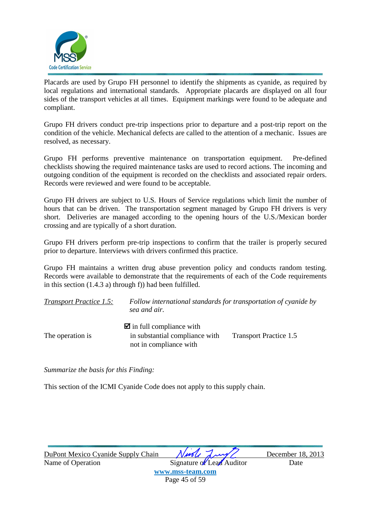![](_page_45_Picture_0.jpeg)

Placards are used by Grupo FH personnel to identify the shipments as cyanide, as required by local regulations and international standards. Appropriate placards are displayed on all four sides of the transport vehicles at all times. Equipment markings were found to be adequate and compliant.

Grupo FH drivers conduct pre-trip inspections prior to departure and a post-trip report on the condition of the vehicle. Mechanical defects are called to the attention of a mechanic. Issues are resolved, as necessary.

Grupo FH performs preventive maintenance on transportation equipment. Pre-defined checklists showing the required maintenance tasks are used to record actions. The incoming and outgoing condition of the equipment is recorded on the checklists and associated repair orders. Records were reviewed and were found to be acceptable.

Grupo FH drivers are subject to U.S. Hours of Service regulations which limit the number of hours that can be driven. The transportation segment managed by Grupo FH drivers is very short. Deliveries are managed according to the opening hours of the U.S./Mexican border crossing and are typically of a short duration.

Grupo FH drivers perform pre-trip inspections to confirm that the trailer is properly secured prior to departure. Interviews with drivers confirmed this practice.

Grupo FH maintains a written drug abuse prevention policy and conducts random testing. Records were available to demonstrate that the requirements of each of the Code requirements in this section (1.4.3 a) through f)) had been fulfilled.

| <b>Transport Practice 1.5:</b> | Follow international standards for transportation of cyanide by<br>sea and air. |                        |
|--------------------------------|---------------------------------------------------------------------------------|------------------------|
|                                | $\blacksquare$ in full compliance with                                          |                        |
| The operation is               | in substantial compliance with<br>not in compliance with                        | Transport Practice 1.5 |

*Summarize the basis for this Finding:* 

This section of the ICMI Cyanide Code does not apply to this supply chain.

DuPont Mexico Cyanide Supply Chain *Nurely Lawy* December 18, 2013

Name of Operation Signature of Lead Auditor Date **www.mss-team.com** Page 45 of 59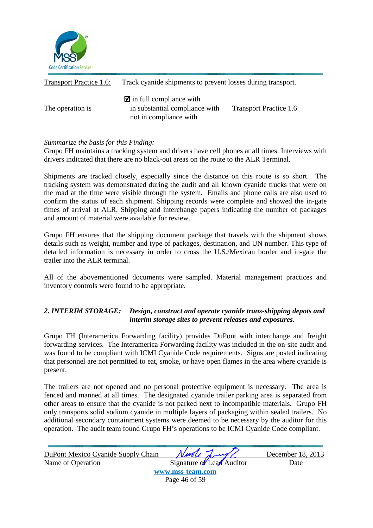![](_page_46_Picture_0.jpeg)

| <b>Transport Practice 1.6:</b> | Track cyanide shipments to prevent losses during transport.                                        |                               |
|--------------------------------|----------------------------------------------------------------------------------------------------|-------------------------------|
| The operation is               | $\blacksquare$ in full compliance with<br>in substantial compliance with<br>not in compliance with | <b>Transport Practice 1.6</b> |

Grupo FH maintains a tracking system and drivers have cell phones at all times. Interviews with drivers indicated that there are no black-out areas on the route to the ALR Terminal.

Shipments are tracked closely, especially since the distance on this route is so short. The tracking system was demonstrated during the audit and all known cyanide trucks that were on the road at the time were visible through the system. Emails and phone calls are also used to confirm the status of each shipment. Shipping records were complete and showed the in-gate times of arrival at ALR. Shipping and interchange papers indicating the number of packages and amount of material were available for review.

Grupo FH ensures that the shipping document package that travels with the shipment shows details such as weight, number and type of packages, destination, and UN number. This type of detailed information is necessary in order to cross the U.S./Mexican border and in-gate the trailer into the ALR terminal.

All of the abovementioned documents were sampled. Material management practices and inventory controls were found to be appropriate.

#### *2. INTERIM STORAGE: Design, construct and operate cyanide trans-shipping depots and interim storage sites to prevent releases and exposures.*

Grupo FH (Interamerica Forwarding facility) provides DuPont with interchange and freight forwarding services. The Interamerica Forwarding facility was included in the on-site audit and was found to be compliant with ICMI Cyanide Code requirements. Signs are posted indicating that personnel are not permitted to eat, smoke, or have open flames in the area where cyanide is present.

The trailers are not opened and no personal protective equipment is necessary. The area is fenced and manned at all times. The designated cyanide trailer parking area is separated from other areas to ensure that the cyanide is not parked next to incompatible materials. Grupo FH only transports solid sodium cyanide in multiple layers of packaging within sealed trailers. No additional secondary containment systems were deemed to be necessary by the auditor for this operation. The audit team found Grupo FH's operations to be ICMI Cyanide Code compliant.

| DuPont Mexico Cyanide Supply Chain | Ningle Lung/              | December 18, 2013 |
|------------------------------------|---------------------------|-------------------|
| Name of Operation                  | Signature of Lead Auditor | Date              |
|                                    | www.mss-team.com          |                   |
|                                    | Page 46 of 59             |                   |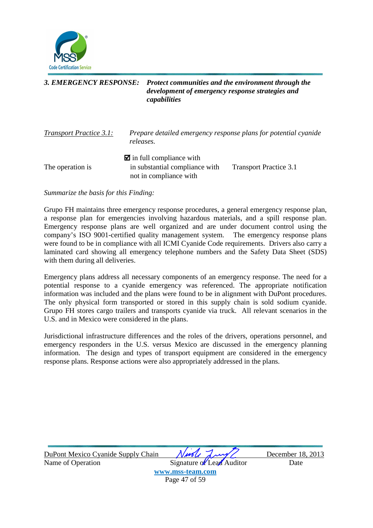![](_page_47_Picture_0.jpeg)

#### *3. EMERGENCY RESPONSE: Protect communities and the environment through the development of emergency response strategies and capabilities*

| <b>Transport Practice 3.1:</b> | Prepare detailed emergency response plans for potential cyanide<br>releases.                       |                        |
|--------------------------------|----------------------------------------------------------------------------------------------------|------------------------|
| The operation is               | $\blacksquare$ in full compliance with<br>in substantial compliance with<br>not in compliance with | Transport Practice 3.1 |

*Summarize the basis for this Finding:* 

Grupo FH maintains three emergency response procedures, a general emergency response plan, a response plan for emergencies involving hazardous materials, and a spill response plan. Emergency response plans are well organized and are under document control using the company's ISO 9001-certified quality management system. The emergency response plans were found to be in compliance with all ICMI Cyanide Code requirements. Drivers also carry a laminated card showing all emergency telephone numbers and the Safety Data Sheet (SDS) with them during all deliveries.

Emergency plans address all necessary components of an emergency response. The need for a potential response to a cyanide emergency was referenced. The appropriate notification information was included and the plans were found to be in alignment with DuPont procedures. The only physical form transported or stored in this supply chain is sold sodium cyanide. Grupo FH stores cargo trailers and transports cyanide via truck. All relevant scenarios in the U.S. and in Mexico were considered in the plans.

Jurisdictional infrastructure differences and the roles of the drivers, operations personnel, and emergency responders in the U.S. versus Mexico are discussed in the emergency planning information. The design and types of transport equipment are considered in the emergency response plans. Response actions were also appropriately addressed in the plans.

| DuPont Mexico Cyanide Supply Chain | Nurle Lung/               | December 18, 2013 |
|------------------------------------|---------------------------|-------------------|
| Name of Operation                  | Signature of Lead Auditor | Date              |
|                                    | www.mss-team.com          |                   |
|                                    | Page 47 of 59             |                   |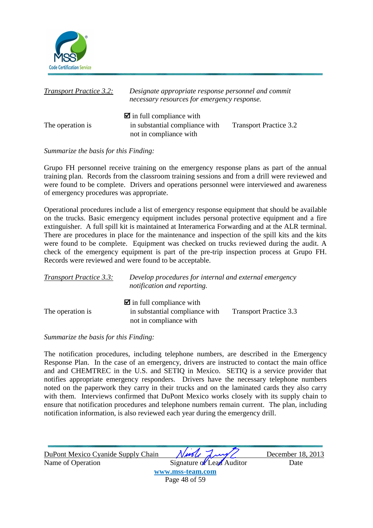![](_page_48_Picture_0.jpeg)

| <b>Transport Practice 3.2:</b> | Designate appropriate response personnel and commit<br>necessary resources for emergency response. |                               |
|--------------------------------|----------------------------------------------------------------------------------------------------|-------------------------------|
| The operation is               | $\blacksquare$ in full compliance with<br>in substantial compliance with<br>not in compliance with | <b>Transport Practice 3.2</b> |

Grupo FH personnel receive training on the emergency response plans as part of the annual training plan. Records from the classroom training sessions and from a drill were reviewed and were found to be complete. Drivers and operations personnel were interviewed and awareness of emergency procedures was appropriate.

Operational procedures include a list of emergency response equipment that should be available on the trucks. Basic emergency equipment includes personal protective equipment and a fire extinguisher. A full spill kit is maintained at Interamerica Forwarding and at the ALR terminal. There are procedures in place for the maintenance and inspection of the spill kits and the kits were found to be complete. Equipment was checked on trucks reviewed during the audit. A check of the emergency equipment is part of the pre-trip inspection process at Grupo FH. Records were reviewed and were found to be acceptable.

| <b>Transport Practice 3.3:</b> | Develop procedures for internal and external emergency<br>notification and reporting.              |                               |
|--------------------------------|----------------------------------------------------------------------------------------------------|-------------------------------|
| The operation is               | $\blacksquare$ in full compliance with<br>in substantial compliance with<br>not in compliance with | <b>Transport Practice 3.3</b> |

#### *Summarize the basis for this Finding:*

The notification procedures, including telephone numbers, are described in the Emergency Response Plan. In the case of an emergency, drivers are instructed to contact the main office and and CHEMTREC in the U.S. and SETIQ in Mexico. SETIQ is a service provider that notifies appropriate emergency responders. Drivers have the necessary telephone numbers noted on the paperwork they carry in their trucks and on the laminated cards they also carry with them. Interviews confirmed that DuPont Mexico works closely with its supply chain to ensure that notification procedures and telephone numbers remain current. The plan, including notification information, is also reviewed each year during the emergency drill.

| DuPont Mexico Cyanide Supply Chain | Nuole Lung                | December 18, 2013 |
|------------------------------------|---------------------------|-------------------|
| Name of Operation                  | Signature of Lead Auditor | Date              |
|                                    | www.mss-team.com          |                   |
|                                    | Page 48 of 59             |                   |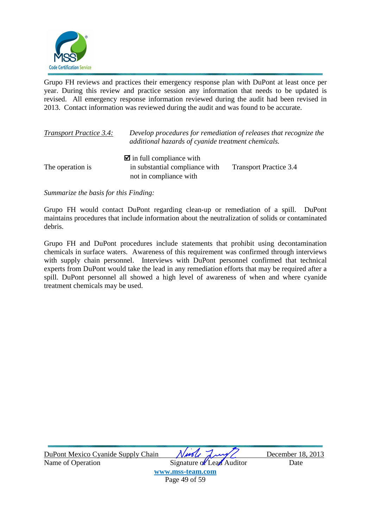![](_page_49_Picture_0.jpeg)

Grupo FH reviews and practices their emergency response plan with DuPont at least once per year. During this review and practice session any information that needs to be updated is revised. All emergency response information reviewed during the audit had been revised in 2013. Contact information was reviewed during the audit and was found to be accurate.

| <b>Transport Practice 3.4:</b> | Develop procedures for remediation of releases that recognize the<br>additional hazards of cyanide treatment chemicals. |                               |
|--------------------------------|-------------------------------------------------------------------------------------------------------------------------|-------------------------------|
|                                | $\blacksquare$ in full compliance with                                                                                  |                               |
| The operation is               | in substantial compliance with<br>not in compliance with                                                                | <b>Transport Practice 3.4</b> |

*Summarize the basis for this Finding:* 

Grupo FH would contact DuPont regarding clean-up or remediation of a spill. DuPont maintains procedures that include information about the neutralization of solids or contaminated debris.

Grupo FH and DuPont procedures include statements that prohibit using decontamination chemicals in surface waters. Awareness of this requirement was confirmed through interviews with supply chain personnel. Interviews with DuPont personnel confirmed that technical experts from DuPont would take the lead in any remediation efforts that may be required after a spill. DuPont personnel all showed a high level of awareness of when and where cyanide treatment chemicals may be used.

| DuPont Mexico Cyanide Supply Chain | Needle Lung/              | December 18, 2013 |
|------------------------------------|---------------------------|-------------------|
| Name of Operation                  | Signature of Lead Auditor | Date              |
|                                    | www.mss-team.com          |                   |
|                                    | Page 49 of 59             |                   |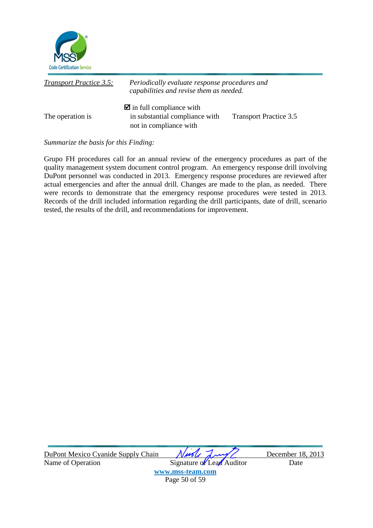![](_page_50_Picture_0.jpeg)

| <b>Transport Practice 3.5:</b> | Periodically evaluate response procedures and<br>capabilities and revise them as needed.           |                               |
|--------------------------------|----------------------------------------------------------------------------------------------------|-------------------------------|
| The operation is               | $\blacksquare$ in full compliance with<br>in substantial compliance with<br>not in compliance with | <b>Transport Practice 3.5</b> |

Grupo FH procedures call for an annual review of the emergency procedures as part of the quality management system document control program. An emergency response drill involving DuPont personnel was conducted in 2013. Emergency response procedures are reviewed after actual emergencies and after the annual drill. Changes are made to the plan, as needed. There were records to demonstrate that the emergency response procedures were tested in 2013. Records of the drill included information regarding the drill participants, date of drill, scenario tested, the results of the drill, and recommendations for improvement.

| DuPont Mexico Cyanide Supply Chain | Niede Lung<br>December 1          |  |
|------------------------------------|-----------------------------------|--|
| Name of Operation                  | Signature of Lead Auditor<br>Date |  |

December 18, 2013

**www.mss-team.com** Page 50 of 59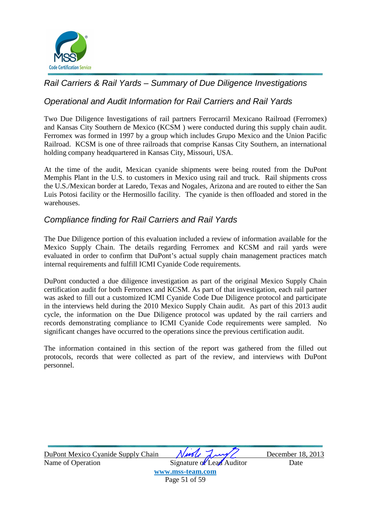![](_page_51_Picture_0.jpeg)

### Rail Carriers & Rail Yards – Summary of Due Diligence Investigations

### Operational and Audit Information for Rail Carriers and Rail Yards

Two Due Diligence Investigations of rail partners Ferrocarril Mexicano Railroad (Ferromex) and Kansas City Southern de Mexico (KCSM ) were conducted during this supply chain audit. Ferromex was formed in 1997 by a group which includes Grupo Mexico and the Union Pacific Railroad. KCSM is one of three railroads that comprise Kansas City Southern, an international holding company headquartered in Kansas City, Missouri, USA.

At the time of the audit, Mexican cyanide shipments were being routed from the DuPont Memphis Plant in the U.S. to customers in Mexico using rail and truck. Rail shipments cross the U.S./Mexican border at Laredo, Texas and Nogales, Arizona and are routed to either the San Luis Potosi facility or the Hermosillo facility. The cyanide is then offloaded and stored in the warehouses.

### Compliance finding for Rail Carriers and Rail Yards

The Due Diligence portion of this evaluation included a review of information available for the Mexico Supply Chain. The details regarding Ferromex and KCSM and rail yards were evaluated in order to confirm that DuPont's actual supply chain management practices match internal requirements and fulfill ICMI Cyanide Code requirements.

DuPont conducted a due diligence investigation as part of the original Mexico Supply Chain certification audit for both Ferromex and KCSM. As part of that investigation, each rail partner was asked to fill out a customized ICMI Cyanide Code Due Diligence protocol and participate in the interviews held during the 2010 Mexico Supply Chain audit. As part of this 2013 audit cycle, the information on the Due Diligence protocol was updated by the rail carriers and records demonstrating compliance to ICMI Cyanide Code requirements were sampled. No significant changes have occurred to the operations since the previous certification audit.

The information contained in this section of the report was gathered from the filled out protocols, records that were collected as part of the review, and interviews with DuPont personnel.

| DuPont Mexico Cyanide Supply Chain | Nurle Lung/               | December 18, 2013 |
|------------------------------------|---------------------------|-------------------|
| Name of Operation                  | Signature of Lead Auditor | Date              |
|                                    | www.mss-team.com          |                   |
|                                    | Page 51 of 59             |                   |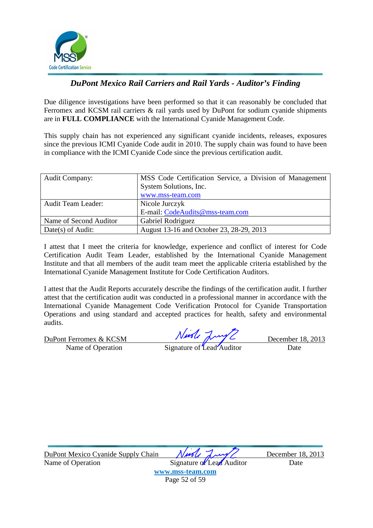![](_page_52_Picture_0.jpeg)

### *DuPont Mexico Rail Carriers and Rail Yards - Auditor's Finding*

Due diligence investigations have been performed so that it can reasonably be concluded that Ferromex and KCSM rail carriers & rail yards used by DuPont for sodium cyanide shipments are in **FULL COMPLIANCE** with the International Cyanide Management Code.

This supply chain has not experienced any significant cyanide incidents, releases, exposures since the previous ICMI Cyanide Code audit in 2010. The supply chain was found to have been in compliance with the ICMI Cyanide Code since the previous certification audit.

| <b>Audit Company:</b>     | MSS Code Certification Service, a Division of Management |
|---------------------------|----------------------------------------------------------|
|                           | System Solutions, Inc.                                   |
|                           | www.mss-team.com                                         |
| <b>Audit Team Leader:</b> | Nicole Jurczyk                                           |
|                           | E-mail: CodeAudits@mss-team.com                          |
| Name of Second Auditor    | Gabriel Rodriguez                                        |
| Date(s) of Audit:         | August 13-16 and October 23, 28-29, 2013                 |

I attest that I meet the criteria for knowledge, experience and conflict of interest for Code Certification Audit Team Leader, established by the International Cyanide Management Institute and that all members of the audit team meet the applicable criteria established by the International Cyanide Management Institute for Code Certification Auditors.

I attest that the Audit Reports accurately describe the findings of the certification audit. I further attest that the certification audit was conducted in a professional manner in accordance with the International Cyanide Management Code Verification Protocol for Cyanide Transportation Operations and using standard and accepted practices for health, safety and environmental audits.

DuPont Ferromex & KCSM  $\sqrt{M}$ 

Name of Operation Signature of Lead Auditor Date

DuPont Mexico Cyanide Supply Chain *Nurely Lawy* December 18, 2013 Name of Operation Signature of Lead Auditor Date

**www.mss-team.com** Page 52 of 59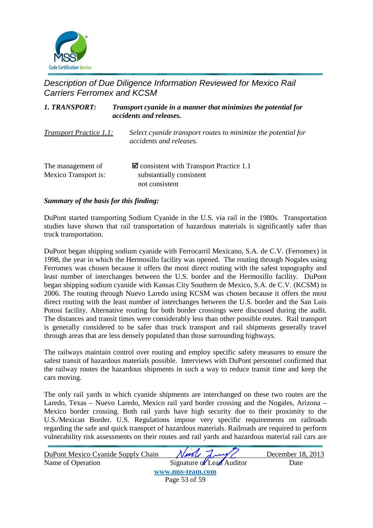![](_page_53_Picture_0.jpeg)

### Description of Due Diligence Information Reviewed for Mexico Rail Carriers Ferromex and KCSM

| Transport cyanide in a manner that minimizes the potential for<br><b>1. TRANSPORT:</b><br>accidents and releases. |                                                                                                      |
|-------------------------------------------------------------------------------------------------------------------|------------------------------------------------------------------------------------------------------|
| <b>Transport Practice 1.1:</b>                                                                                    | Select cyanide transport routes to minimize the potential for<br>accidents and releases.             |
| The management of<br><b>Mexico Transport is:</b>                                                                  | $\blacksquare$ consistent with Transport Practice 1.1<br>substantially consistent<br>not consistent. |

#### *Summary of the basis for this finding:*

DuPont started transporting Sodium Cyanide in the U.S. via rail in the 1980s. Transportation studies have shown that rail transportation of hazardous materials is significantly safer than truck transportation.

DuPont began shipping sodium cyanide with Ferrocarril Mexicano, S.A. de C.V. (Ferromex) in 1998, the year in which the Hermosillo facility was opened. The routing through Nogales using Ferromex was chosen because it offers the most direct routing with the safest topography and least number of interchanges between the U.S. border and the Hermosillo facility. DuPont began shipping sodium cyanide with Kansas City Southern de Mexico, S.A. de C.V. (KCSM) in 2006. The routing through Nuevo Laredo using KCSM was chosen because it offers the most direct routing with the least number of interchanges between the U.S. border and the San Luis Potosi facility. Alternative routing for both border crossings were discussed during the audit. The distances and transit times were considerably less than other possible routes. Rail transport is generally considered to be safer than truck transport and rail shipments generally travel through areas that are less densely populated than those surrounding highways.

The railways maintain control over routing and employ specific safety measures to ensure the safest transit of hazardous materials possible. Interviews with DuPont personnel confirmed that the railway routes the hazardous shipments in such a way to reduce transit time and keep the cars moving.

The only rail yards in which cyanide shipments are interchanged on these two routes are the Laredo, Texas – Nuevo Laredo, Mexico rail yard border crossing and the Nogales, Arizona – Mexico border crossing. Both rail yards have high security due to their proximity to the U.S./Mexican Border. U.S. Regulations impose very specific requirements on railroads regarding the safe and quick transport of hazardous materials. Railroads are required to perform vulnerability risk assessments on their routes and rail yards and hazardous material rail cars are

| DuPont Mexico Cyanide Supply Chain | Nurle Lung/               | December 18, 2013 |
|------------------------------------|---------------------------|-------------------|
| Name of Operation                  | Signature of Lead Auditor | Date              |
|                                    | www.mss-team.com          |                   |
|                                    | Page 53 of 59             |                   |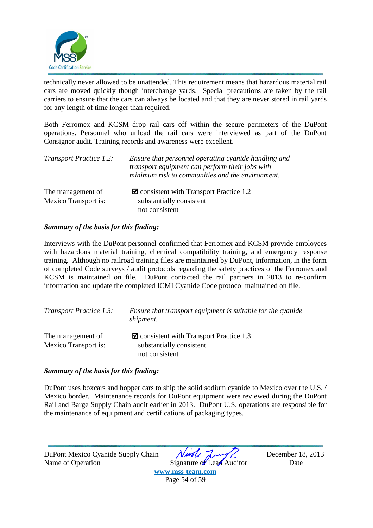![](_page_54_Picture_0.jpeg)

technically never allowed to be unattended. This requirement means that hazardous material rail cars are moved quickly though interchange yards. Special precautions are taken by the rail carriers to ensure that the cars can always be located and that they are never stored in rail yards for any length of time longer than required.

Both Ferromex and KCSM drop rail cars off within the secure perimeters of the DuPont operations. Personnel who unload the rail cars were interviewed as part of the DuPont Consignor audit. Training records and awareness were excellent.

| <b>Transport Practice 1.2:</b> | Ensure that personnel operating cyanide handling and<br>transport equipment can perform their jobs with<br>minimum risk to communities and the environment. |
|--------------------------------|-------------------------------------------------------------------------------------------------------------------------------------------------------------|
| The management of              | $\blacksquare$ consistent with Transport Practice 1.2                                                                                                       |
| <b>Mexico Transport is:</b>    | substantially consistent                                                                                                                                    |
|                                | not consistent                                                                                                                                              |

#### *Summary of the basis for this finding:*

Interviews with the DuPont personnel confirmed that Ferromex and KCSM provide employees with hazardous material training, chemical compatibility training, and emergency response training. Although no railroad training files are maintained by DuPont, information, in the form of completed Code surveys / audit protocols regarding the safety practices of the Ferromex and KCSM is maintained on file. DuPont contacted the rail partners in 2013 to re-confirm information and update the completed ICMI Cyanide Code protocol maintained on file.

| <b>Transport Practice 1.3:</b> | Ensure that transport equipment is suitable for the cyanide<br>shipment. |
|--------------------------------|--------------------------------------------------------------------------|
| The management of              | $\blacksquare$ consistent with Transport Practice 1.3                    |
| Mexico Transport is:           | substantially consistent<br>not consistent                               |

#### *Summary of the basis for this finding:*

DuPont uses boxcars and hopper cars to ship the solid sodium cyanide to Mexico over the U.S. / Mexico border. Maintenance records for DuPont equipment were reviewed during the DuPont Rail and Barge Supply Chain audit earlier in 2013. DuPont U.S. operations are responsible for the maintenance of equipment and certifications of packaging types.

| DuPont Mexico Cyanide Supply Chain | Nuole Lung                | December 18, 2013 |
|------------------------------------|---------------------------|-------------------|
| Name of Operation                  | Signature of Lead Auditor | Date              |
|                                    | www.mss-team.com          |                   |
|                                    | Page 54 of 59             |                   |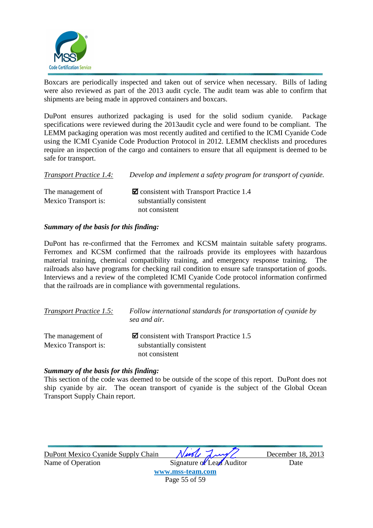![](_page_55_Picture_0.jpeg)

Boxcars are periodically inspected and taken out of service when necessary. Bills of lading were also reviewed as part of the 2013 audit cycle. The audit team was able to confirm that shipments are being made in approved containers and boxcars.

DuPont ensures authorized packaging is used for the solid sodium cyanide. Package specifications were reviewed during the 2013audit cycle and were found to be compliant. The LEMM packaging operation was most recently audited and certified to the ICMI Cyanide Code using the ICMI Cyanide Code Production Protocol in 2012. LEMM checklists and procedures require an inspection of the cargo and containers to ensure that all equipment is deemed to be safe for transport.

| <b>Transport Practice 1.4:</b> | Develop and implement a safety program for transport of cyanide. |
|--------------------------------|------------------------------------------------------------------|
| The management of              | $\blacksquare$ consistent with Transport Practice 1.4            |
| Mexico Transport is:           | substantially consistent                                         |
|                                | not consistent                                                   |

#### *Summary of the basis for this finding:*

DuPont has re-confirmed that the Ferromex and KCSM maintain suitable safety programs. Ferromex and KCSM confirmed that the railroads provide its employees with hazardous material training, chemical compatibility training, and emergency response training. The railroads also have programs for checking rail condition to ensure safe transportation of goods. Interviews and a review of the completed ICMI Cyanide Code protocol information confirmed that the railroads are in compliance with governmental regulations.

| <b>Transport Practice 1.5:</b>            | Follow international standards for transportation of cyanide by<br>sea and air.                     |
|-------------------------------------------|-----------------------------------------------------------------------------------------------------|
| The management of<br>Mexico Transport is: | $\blacksquare$ consistent with Transport Practice 1.5<br>substantially consistent<br>not consistent |

#### *Summary of the basis for this finding:*

This section of the code was deemed to be outside of the scope of this report. DuPont does not ship cyanide by air. The ocean transport of cyanide is the subject of the Global Ocean Transport Supply Chain report.

| DuPont Mexico Cyanide Supply Chain | Ningle Lung               | December 18, 2013 |
|------------------------------------|---------------------------|-------------------|
| Name of Operation                  | Signature of Lead Auditor | Date              |
|                                    | www.mss-team.com          |                   |
|                                    | Page 55 of 59             |                   |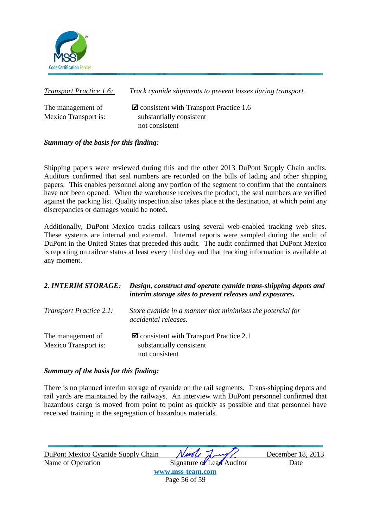![](_page_56_Picture_0.jpeg)

*Transport Practice 1.6: Track cyanide shipments to prevent losses during transport.* 

The management of  $\Box$  consistent with Transport Practice 1.6 Mexico Transport is:  $\qquad \qquad$  substantially consistent not consistent

### *Summary of the basis for this finding:*

Shipping papers were reviewed during this and the other 2013 DuPont Supply Chain audits. Auditors confirmed that seal numbers are recorded on the bills of lading and other shipping papers. This enables personnel along any portion of the segment to confirm that the containers have not been opened. When the warehouse receives the product, the seal numbers are verified against the packing list. Quality inspection also takes place at the destination, at which point any discrepancies or damages would be noted.

Additionally, DuPont Mexico tracks railcars using several web-enabled tracking web sites. These systems are internal and external. Internal reports were sampled during the audit of DuPont in the United States that preceded this audit. The audit confirmed that DuPont Mexico is reporting on railcar status at least every third day and that tracking information is available at any moment.

### *2. INTERIM STORAGE: Design, construct and operate cyanide trans-shipping depots and interim storage sites to prevent releases and exposures.*

| <b>Transport Practice 2.1:</b> | Store cyanide in a manner that minimizes the potential for<br>accidental releases. |
|--------------------------------|------------------------------------------------------------------------------------|
| The management of              | $\blacksquare$ consistent with Transport Practice 2.1                              |
| <b>Mexico Transport is:</b>    | substantially consistent                                                           |
|                                | not consistent                                                                     |

#### *Summary of the basis for this finding:*

There is no planned interim storage of cyanide on the rail segments. Trans-shipping depots and rail yards are maintained by the railways. An interview with DuPont personnel confirmed that hazardous cargo is moved from point to point as quickly as possible and that personnel have received training in the segregation of hazardous materials.

| DuPont Mexico Cyanide Supply Chain | Nurle Lung/               | December 18, 2013 |
|------------------------------------|---------------------------|-------------------|
| Name of Operation                  | Signature of Lead Auditor | Date              |
|                                    | www.mss-team.com          |                   |
|                                    | Page 56 of 59             |                   |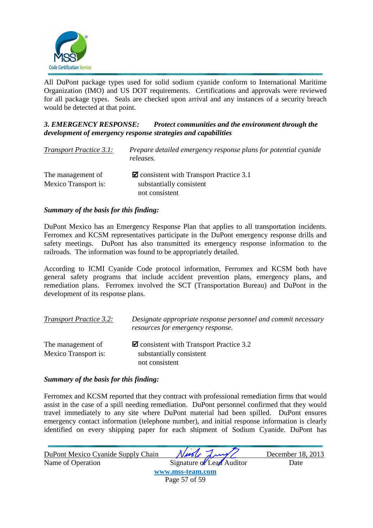![](_page_57_Picture_0.jpeg)

All DuPont package types used for solid sodium cyanide conform to International Maritime Organization (IMO) and US DOT requirements. Certifications and approvals were reviewed for all package types. Seals are checked upon arrival and any instances of a security breach would be detected at that point.

#### *3. EMERGENCY RESPONSE: Protect communities and the environment through the development of emergency response strategies and capabilities*

| <b>Transport Practice 3.1:</b> | Prepare detailed emergency response plans for potential cyanide<br>releases. |
|--------------------------------|------------------------------------------------------------------------------|
| The management of              | $\blacksquare$ consistent with Transport Practice 3.1                        |
| Mexico Transport is:           | substantially consistent                                                     |
|                                | not consistent                                                               |

#### *Summary of the basis for this finding:*

DuPont Mexico has an Emergency Response Plan that applies to all transportation incidents. Ferromex and KCSM representatives participate in the DuPont emergency response drills and safety meetings. DuPont has also transmitted its emergency response information to the railroads. The information was found to be appropriately detailed.

According to ICMI Cyanide Code protocol information, Ferromex and KCSM both have general safety programs that include accident prevention plans, emergency plans, and remediation plans. Ferromex involved the SCT (Transportation Bureau) and DuPont in the development of its response plans.

| <b>Transport Practice 3.2:</b>                   | Designate appropriate response personnel and commit necessary<br>resources for emergency response. |
|--------------------------------------------------|----------------------------------------------------------------------------------------------------|
| The management of<br><b>Mexico Transport is:</b> | $\blacksquare$ consistent with Transport Practice 3.2<br>substantially consistent                  |
|                                                  | not consistent                                                                                     |

#### *Summary of the basis for this finding:*

Ferromex and KCSM reported that they contract with professional remediation firms that would assist in the case of a spill needing remediation. DuPont personnel confirmed that they would travel immediately to any site where DuPont material had been spilled. DuPont ensures emergency contact information (telephone number), and initial response information is clearly identified on every shipping paper for each shipment of Sodium Cyanide. DuPont has

| DuPont Mexico Cyanide Supply Chain | Nivole Lung               | December 18, 2013 |
|------------------------------------|---------------------------|-------------------|
| Name of Operation                  | Signature of Lead Auditor | Date              |
|                                    | www.mss-team.com          |                   |
|                                    | Page 57 of 59             |                   |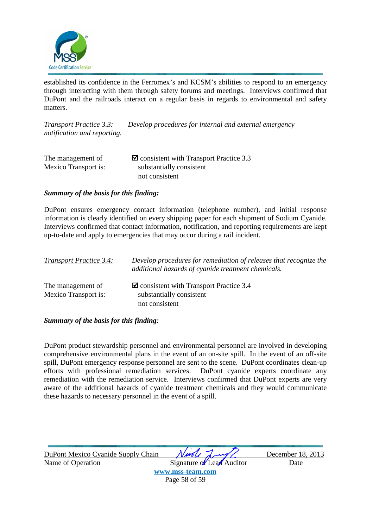![](_page_58_Picture_0.jpeg)

established its confidence in the Ferromex's and KCSM's abilities to respond to an emergency through interacting with them through safety forums and meetings. Interviews confirmed that DuPont and the railroads interact on a regular basis in regards to environmental and safety matters.

*Transport Practice 3.3: Develop procedures for internal and external emergency notification and reporting.*

| The management of    | $\blacksquare$ consistent with Transport Practice 3.3 |
|----------------------|-------------------------------------------------------|
| Mexico Transport is: | substantially consistent                              |
|                      | not consistent                                        |

#### *Summary of the basis for this finding:*

DuPont ensures emergency contact information (telephone number), and initial response information is clearly identified on every shipping paper for each shipment of Sodium Cyanide. Interviews confirmed that contact information, notification, and reporting requirements are kept up-to-date and apply to emergencies that may occur during a rail incident.

| <b>Transport Practice 3.4:</b> | Develop procedures for remediation of releases that recognize the<br>additional hazards of cyanide treatment chemicals. |
|--------------------------------|-------------------------------------------------------------------------------------------------------------------------|
| The management of              | $\blacksquare$ consistent with Transport Practice 3.4                                                                   |
| Mexico Transport is:           | substantially consistent                                                                                                |
|                                | not consistent                                                                                                          |

#### *Summary of the basis for this finding:*

DuPont product stewardship personnel and environmental personnel are involved in developing comprehensive environmental plans in the event of an on-site spill. In the event of an off-site spill, DuPont emergency response personnel are sent to the scene. DuPont coordinates clean-up efforts with professional remediation services. DuPont cyanide experts coordinate any remediation with the remediation service. Interviews confirmed that DuPont experts are very aware of the additional hazards of cyanide treatment chemicals and they would communicate these hazards to necessary personnel in the event of a spill.

| DuPont Mexico Cyanide Supply Chain | Nivole Lung               | December 18, 2013 |
|------------------------------------|---------------------------|-------------------|
| Name of Operation                  | Signature of Lead Auditor | Date              |
|                                    | www.mss-team.com          |                   |
|                                    | Page 58 of 59             |                   |